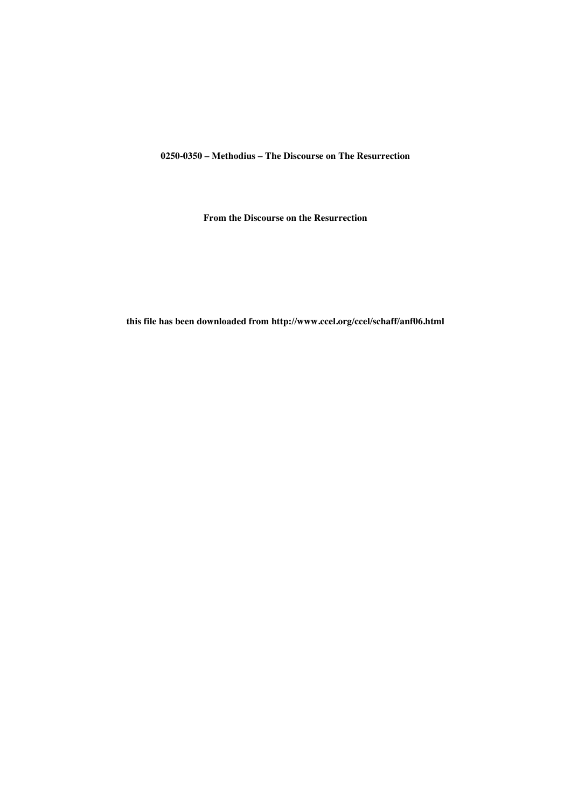## **0250-0350 – Methodius – The Discourse on The Resurrection**

**From the Discourse on the Resurrection**

**this file has been downloaded from http://www.ccel.org/ccel/schaff/anf06.html**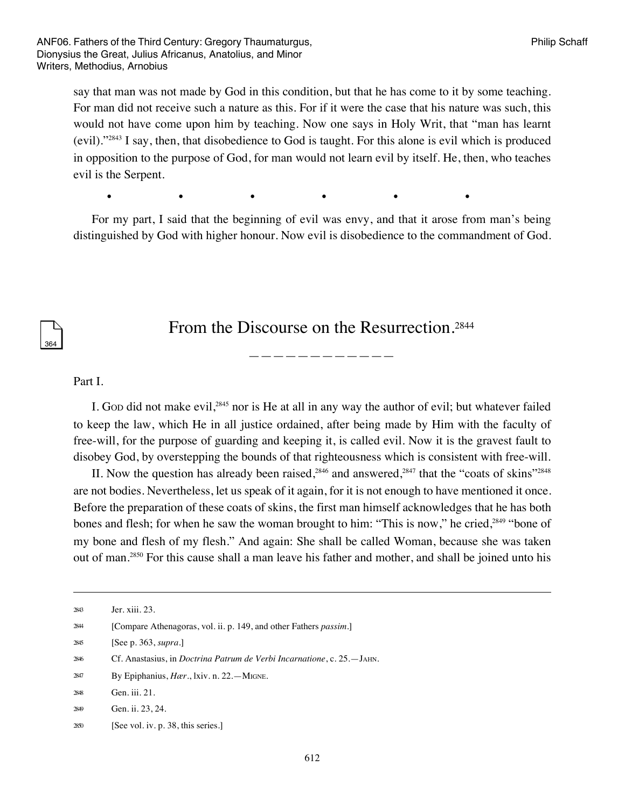say that man was not made by God in this condition, but that he has come to it by some teaching. For man did not receive such a nature as this. For if it were the case that his nature was such, this would not have come upon him by teaching. Now one says in Holy Writ, that "man has learnt (evil)."2843 I say, then, that disobedience to God is taught. For this alone is evil which is produced in opposition to the purpose of God, for man would not learn evil by itself. He, then, who teaches evil is the Serpent.

 $\bullet$  •  $\bullet$  •  $\bullet$  •  $\bullet$  •  $\bullet$  •  $\bullet$  •

For my part, I said that the beginning of evil was envy, and that it arose from man's being distinguished by God with higher honour. Now evil is disobedience to the commandment of God.

## From the Discourse on the Resurrection.<sup>2844</sup>

————————————

Part I.

[364](http://www.ccel.org/ccel/schaff/anf06/Page_364.html)

I. GOD did not make evil,2845 nor is He at all in any way the author of evil; but whatever failed to keep the law, which He in all justice ordained, after being made by Him with the faculty of free-will, for the purpose of guarding and keeping it, is called evil. Now it is the gravest fault to disobey God, by overstepping the bounds of that righteousness which is consistent with free-will.

II. Now the question has already been raised,<sup>2846</sup> and answered,<sup>2847</sup> that the "coats of skins"<sup>2848</sup> are not bodies. Nevertheless, let us speak of it again, for it is not enough to have mentioned it once. Before the preparation of these coats of skins, the first man himself acknowledges that he has both bones and flesh; for when he saw the woman brought to him: "This is now," he cried,<sup>2849</sup> "bone of my bone and flesh of my flesh." And again: She shall be called Woman, because she was taken out of man.2850 For this cause shall a man leave his father and mother, and shall be joined unto his

<sup>2843</sup> [Jer. xiii. 23.](http://www.ccel.org/ccel/bible/asv.Jer.13.html#Jer.13.23)

<sup>2844</sup> [Compare Athenagoras, vol. ii. p. 149, and other Fathers *passim.*]

<sup>2845</sup> [See p. 363, *supra*.]

<sup>2846</sup> Cf. Anastasius, in *Doctrina Patrum de Verbi Incarnatione*, c. 25.—JAHN.

<sup>2847</sup> By Epiphanius, *Hær.*, lxiv. n. 22.—MIGNE.

<sup>2848</sup> [Gen. iii. 21.](http://www.ccel.org/ccel/bible/asv.Gen.3.html#Gen.3.21)

<sup>2849</sup> [Gen. ii. 23, 24.](http://www.ccel.org/ccel/bible/asv.Gen.2.html#Gen.2.23)

<sup>2850</sup> [See vol. iv. p. 38, this series.]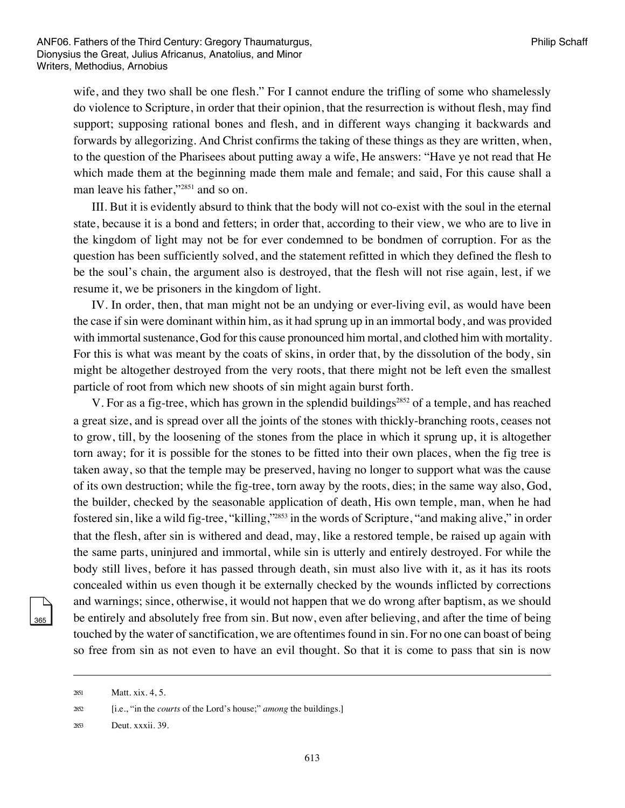wife, and they two shall be one flesh." For I cannot endure the trifling of some who shamelessly do violence to Scripture, in order that their opinion, that the resurrection is without flesh, may find support; supposing rational bones and flesh, and in different ways changing it backwards and forwards by allegorizing. And Christ confirms the taking of these things as they are written, when, to the question of the Pharisees about putting away a wife, He answers: "Have ye not read that He which made them at the beginning made them male and female; and said, For this cause shall a man leave his father,"<sup>2851</sup> and so on.

III. But it is evidently absurd to think that the body will not co-exist with the soul in the eternal state, because it is a bond and fetters; in order that, according to their view, we who are to live in the kingdom of light may not be for ever condemned to be bondmen of corruption. For as the question has been sufficiently solved, and the statement refitted in which they defined the flesh to be the soul's chain, the argument also is destroyed, that the flesh will not rise again, lest, if we resume it, we be prisoners in the kingdom of light.

IV. In order, then, that man might not be an undying or ever-living evil, as would have been the case if sin were dominant within him, as it had sprung up in an immortal body, and was provided with immortal sustenance, God for this cause pronounced him mortal, and clothed him with mortality. For this is what was meant by the coats of skins, in order that, by the dissolution of the body, sin might be altogether destroyed from the very roots, that there might not be left even the smallest particle of root from which new shoots of sin might again burst forth.

V. For as a fig-tree, which has grown in the splendid buildings<sup>2852</sup> of a temple, and has reached a great size, and is spread over all the joints of the stones with thickly-branching roots, ceases not to grow, till, by the loosening of the stones from the place in which it sprung up, it is altogether torn away; for it is possible for the stones to be fitted into their own places, when the fig tree is taken away, so that the temple may be preserved, having no longer to support what was the cause of its own destruction; while the fig-tree, torn away by the roots, dies; in the same way also, God, the builder, checked by the seasonable application of death, His own temple, man, when he had fostered sin, like a wild fig-tree, "killing,"2853 in the words of Scripture, "and making alive," in order that the flesh, after sin is withered and dead, may, like a restored temple, be raised up again with the same parts, uninjured and immortal, while sin is utterly and entirely destroyed. For while the body still lives, before it has passed through death, sin must also live with it, as it has its roots concealed within us even though it be externally checked by the wounds inflicted by corrections and warnings; since, otherwise, it would not happen that we do wrong after baptism, as we should be entirely and absolutely free from sin. But now, even after believing, and after the time of being touched by the water of sanctification, we are oftentimes found in sin. For no one can boast of being so free from sin as not even to have an evil thought. So that it is come to pass that sin is now

<sup>2851</sup> [Matt. xix. 4, 5](http://www.ccel.org/ccel/bible/asv.Matt.19.html#Matt.19.4).

<sup>2852</sup> [i.e., "in the *courts* of the Lord's house;" *among* the buildings.]

<sup>2853</sup> [Deut. xxxii. 39](http://www.ccel.org/ccel/bible/asv.Deut.32.html#Deut.32.39).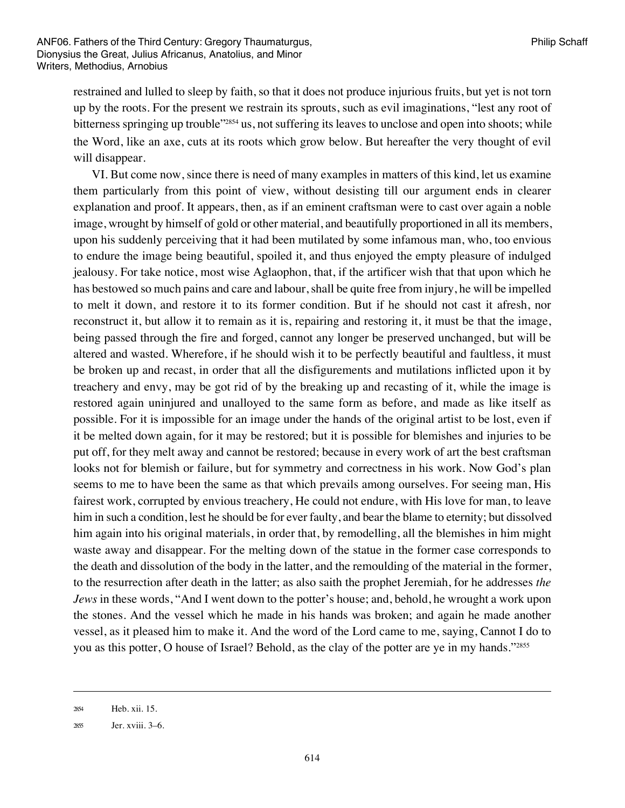restrained and lulled to sleep by faith, so that it does not produce injurious fruits, but yet is not torn up by the roots. For the present we restrain its sprouts, such as evil imaginations, "lest any root of bitterness springing up trouble<sup>"2854</sup> us, not suffering its leaves to unclose and open into shoots; while the Word, like an axe, cuts at its roots which grow below. But hereafter the very thought of evil will disappear.

VI. But come now, since there is need of many examples in matters of this kind, let us examine them particularly from this point of view, without desisting till our argument ends in clearer explanation and proof. It appears, then, as if an eminent craftsman were to cast over again a noble image, wrought by himself of gold or other material, and beautifully proportioned in all its members, upon his suddenly perceiving that it had been mutilated by some infamous man, who, too envious to endure the image being beautiful, spoiled it, and thus enjoyed the empty pleasure of indulged jealousy. For take notice, most wise Aglaophon, that, if the artificer wish that that upon which he has bestowed so much pains and care and labour, shall be quite free from injury, he will be impelled to melt it down, and restore it to its former condition. But if he should not cast it afresh, nor reconstruct it, but allow it to remain as it is, repairing and restoring it, it must be that the image, being passed through the fire and forged, cannot any longer be preserved unchanged, but will be altered and wasted. Wherefore, if he should wish it to be perfectly beautiful and faultless, it must be broken up and recast, in order that all the disfigurements and mutilations inflicted upon it by treachery and envy, may be got rid of by the breaking up and recasting of it, while the image is restored again uninjured and unalloyed to the same form as before, and made as like itself as possible. For it is impossible for an image under the hands of the original artist to be lost, even if it be melted down again, for it may be restored; but it is possible for blemishes and injuries to be put off, for they melt away and cannot be restored; because in every work of art the best craftsman looks not for blemish or failure, but for symmetry and correctness in his work. Now God's plan seems to me to have been the same as that which prevails among ourselves. For seeing man, His fairest work, corrupted by envious treachery, He could not endure, with His love for man, to leave him in such a condition, lest he should be for ever faulty, and bear the blame to eternity; but dissolved him again into his original materials, in order that, by remodelling, all the blemishes in him might waste away and disappear. For the melting down of the statue in the former case corresponds to the death and dissolution of the body in the latter, and the remoulding of the material in the former, to the resurrection after death in the latter; as also saith the prophet Jeremiah, for he addresses *the Jews* in these words, "And I went down to the potter's house; and, behold, he wrought a work upon the stones. And the vessel which he made in his hands was broken; and again he made another vessel, as it pleased him to make it. And the word of the Lord came to me, saying, Cannot I do to you as this potter, O house of Israel? Behold, as the clay of the potter are ye in my hands."2855

<sup>2854</sup> [Heb. xii. 15.](http://www.ccel.org/ccel/bible/asv.Heb.12.html#Heb.12.15)

<sup>2855</sup> [Jer. xviii. 3–6.](http://www.ccel.org/ccel/bible/asv.Jer.18.html#Jer.18.3)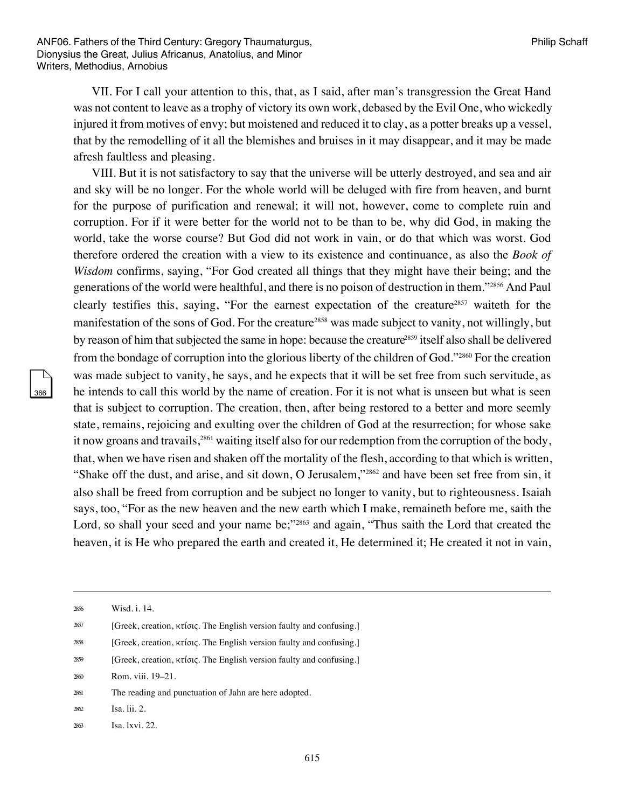VII. For I call your attention to this, that, as I said, after man's transgression the Great Hand was not content to leave as a trophy of victory its own work, debased by the Evil One, who wickedly injured it from motives of envy; but moistened and reduced it to clay, as a potter breaks up a vessel, that by the remodelling of it all the blemishes and bruises in it may disappear, and it may be made afresh faultless and pleasing.

VIII. But it is not satisfactory to say that the universe will be utterly destroyed, and sea and air and sky will be no longer. For the whole world will be deluged with fire from heaven, and burnt for the purpose of purification and renewal; it will not, however, come to complete ruin and corruption. For if it were better for the world not to be than to be, why did God, in making the world, take the worse course? But God did not work in vain, or do that which was worst. God therefore ordered the creation with a view to its existence and continuance, as also the *Book of Wisdom* confirms, saying, "For God created all things that they might have their being; and the generations of the world were healthful, and there is no poison of destruction in them."2856 And Paul clearly testifies this, saying, "For the earnest expectation of the creature<sup>2857</sup> waiteth for the manifestation of the sons of God. For the creature<sup>2858</sup> was made subject to vanity, not willingly, but by reason of him that subjected the same in hope: because the creature<sup>2859</sup> itself also shall be delivered from the bondage of corruption into the glorious liberty of the children of God."2860 For the creation was made subject to vanity, he says, and he expects that it will be set free from such servitude, as he intends to call this world by the name of creation. For it is not what is unseen but what is seen that is subject to corruption. The creation, then, after being restored to a better and more seemly state, remains, rejoicing and exulting over the children of God at the resurrection; for whose sake it now groans and travails,<sup>2861</sup> waiting itself also for our redemption from the corruption of the body, that, when we have risen and shaken off the mortality of the flesh, according to that which is written, "Shake off the dust, and arise, and sit down, O Jerusalem,"2862 and have been set free from sin, it also shall be freed from corruption and be subject no longer to vanity, but to righteousness. Isaiah says, too, "For as the new heaven and the new earth which I make, remaineth before me, saith the Lord, so shall your seed and your name be;"<sup>2863</sup> and again, "Thus saith the Lord that created the heaven, it is He who prepared the earth and created it, He determined it; He created it not in vain,

[366](http://www.ccel.org/ccel/schaff/anf06/Page_366.html)

<sup>2858</sup> [Greek, creation, κτίσις. The English version faulty and confusing.]

<sup>2861</sup> The reading and punctuation of Jahn are here adopted.

<sup>2856</sup> [Wisd. i. 14.](http://www.ccel.org/ccel/bible/asv.Wis.1.html#Wis.1.14)

<sup>2857</sup> [Greek, creation, κτίσις. The English version faulty and confusing.]

<sup>2859</sup> [Greek, creation, κτίσις. The English version faulty and confusing.]

<sup>2860</sup> [Rom. viii. 19–21](http://www.ccel.org/ccel/bible/asv.Rom.8.html#Rom.8.19).

<sup>2862</sup> [Isa. lii. 2.](http://www.ccel.org/ccel/bible/asv.Isa.52.html#Isa.52.2)

<sup>2863</sup> [Isa. lxvi. 22.](http://www.ccel.org/ccel/bible/asv.Isa.66.html#Isa.66.22)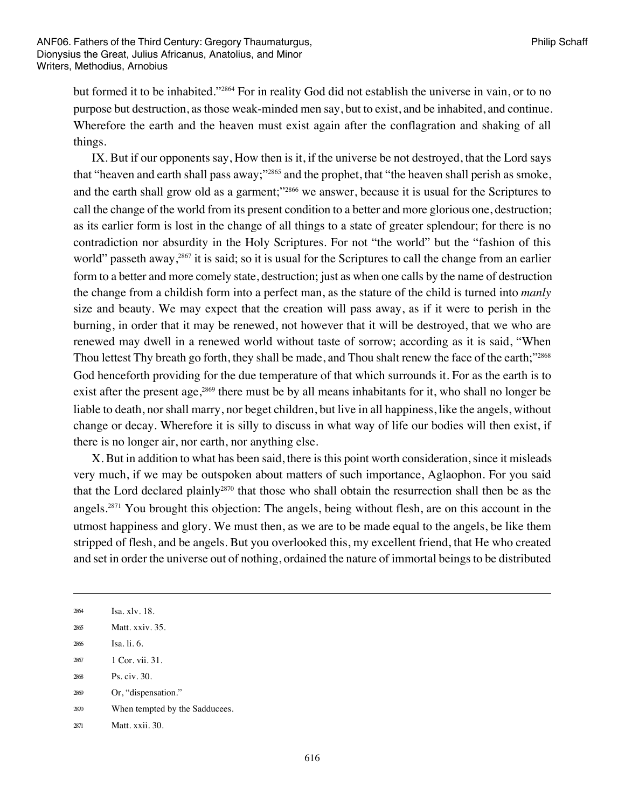but formed it to be inhabited."2864 For in reality God did not establish the universe in vain, or to no purpose but destruction, as those weak-minded men say, but to exist, and be inhabited, and continue. Wherefore the earth and the heaven must exist again after the conflagration and shaking of all things.

IX. But if our opponents say, How then is it, if the universe be not destroyed, that the Lord says that "heaven and earth shall pass away;"2865 and the prophet, that "the heaven shall perish as smoke, and the earth shall grow old as a garment;"2866 we answer, because it is usual for the Scriptures to call the change of the world from its present condition to a better and more glorious one, destruction; as its earlier form is lost in the change of all things to a state of greater splendour; for there is no contradiction nor absurdity in the Holy Scriptures. For not "the world" but the "fashion of this world" passeth away,<sup>2867</sup> it is said; so it is usual for the Scriptures to call the change from an earlier form to a better and more comely state, destruction; just as when one calls by the name of destruction the change from a childish form into a perfect man, as the stature of the child is turned into *manly* size and beauty. We may expect that the creation will pass away, as if it were to perish in the burning, in order that it may be renewed, not however that it will be destroyed, that we who are renewed may dwell in a renewed world without taste of sorrow; according as it is said, "When Thou lettest Thy breath go forth, they shall be made, and Thou shalt renew the face of the earth;"<sup>2868</sup> God henceforth providing for the due temperature of that which surrounds it. For as the earth is to exist after the present age,<sup>2869</sup> there must be by all means inhabitants for it, who shall no longer be liable to death, nor shall marry, nor beget children, but live in all happiness, like the angels, without change or decay. Wherefore it is silly to discuss in what way of life our bodies will then exist, if there is no longer air, nor earth, nor anything else.

X. But in addition to what has been said, there is this point worth consideration, since it misleads very much, if we may be outspoken about matters of such importance, Aglaophon. For you said that the Lord declared plainly2870 that those who shall obtain the resurrection shall then be as the angels.<sup>2871</sup> You brought this objection: The angels, being without flesh, are on this account in the utmost happiness and glory. We must then, as we are to be made equal to the angels, be like them stripped of flesh, and be angels. But you overlooked this, my excellent friend, that He who created and set in order the universe out of nothing, ordained the nature of immortal beings to be distributed

 [Isa. xlv. 18](http://www.ccel.org/ccel/bible/asv.Isa.45.html#Isa.45.18). [Matt. xxiv. 35](http://www.ccel.org/ccel/bible/asv.Matt.24.html#Matt.24.35). [Isa. li. 6](http://www.ccel.org/ccel/bible/asv.Isa.51.html#Isa.51.6). [1 Cor. vii. 31.](http://www.ccel.org/ccel/bible/asv.iCor.7.html#iCor.7.31) [Ps. civ. 30.](http://www.ccel.org/ccel/bible/asv.Ps.4.html#Ps.4.30) Or, "dispensation." When tempted by the Sadducees.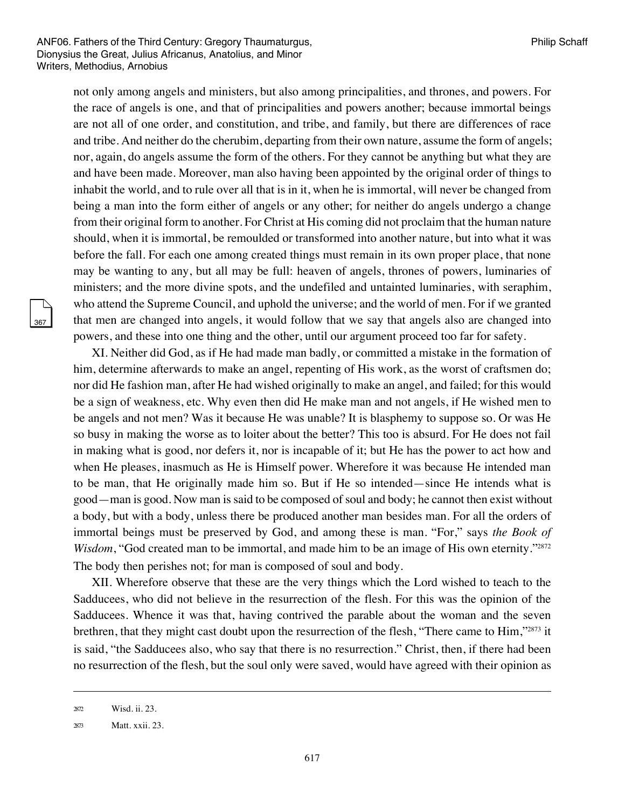not only among angels and ministers, but also among principalities, and thrones, and powers. For the race of angels is one, and that of principalities and powers another; because immortal beings are not all of one order, and constitution, and tribe, and family, but there are differences of race and tribe. And neither do the cherubim, departing from their own nature, assume the form of angels; nor, again, do angels assume the form of the others. For they cannot be anything but what they are and have been made. Moreover, man also having been appointed by the original order of things to inhabit the world, and to rule over all that is in it, when he is immortal, will never be changed from being a man into the form either of angels or any other; for neither do angels undergo a change from their original form to another. For Christ at His coming did not proclaim that the human nature should, when it is immortal, be remoulded or transformed into another nature, but into what it was before the fall. For each one among created things must remain in its own proper place, that none may be wanting to any, but all may be full: heaven of angels, thrones of powers, luminaries of ministers; and the more divine spots, and the undefiled and untainted luminaries, with seraphim, who attend the Supreme Council, and uphold the universe; and the world of men. For if we granted that men are changed into angels, it would follow that we say that angels also are changed into powers, and these into one thing and the other, until our argument proceed too far for safety.

XI. Neither did God, as if He had made man badly, or committed a mistake in the formation of him, determine afterwards to make an angel, repenting of His work, as the worst of craftsmen do; nor did He fashion man, after He had wished originally to make an angel, and failed; for this would be a sign of weakness, etc. Why even then did He make man and not angels, if He wished men to be angels and not men? Was it because He was unable? It is blasphemy to suppose so. Or was He so busy in making the worse as to loiter about the better? This too is absurd. For He does not fail in making what is good, nor defers it, nor is incapable of it; but He has the power to act how and when He pleases, inasmuch as He is Himself power. Wherefore it was because He intended man to be man, that He originally made him so. But if He so intended—since He intends what is good—man is good. Now man is said to be composed of soul and body; he cannot then exist without a body, but with a body, unless there be produced another man besides man. For all the orders of immortal beings must be preserved by God, and among these is man. "For," says *the Book of Wisdom*, "God created man to be immortal, and made him to be an image of His own eternity."2872 The body then perishes not; for man is composed of soul and body.

XII. Wherefore observe that these are the very things which the Lord wished to teach to the Sadducees, who did not believe in the resurrection of the flesh. For this was the opinion of the Sadducees. Whence it was that, having contrived the parable about the woman and the seven brethren, that they might cast doubt upon the resurrection of the flesh, "There came to Him,"2873 it is said, "the Sadducees also, who say that there is no resurrection." Christ, then, if there had been no resurrection of the flesh, but the soul only were saved, would have agreed with their opinion as

<sup>2872</sup> [Wisd. ii. 23](http://www.ccel.org/ccel/bible/asv.Wis.2.html#Wis.2.23).

<sup>2873</sup> [Matt. xxii. 23](http://www.ccel.org/ccel/bible/asv.Matt.22.html#Matt.22.23).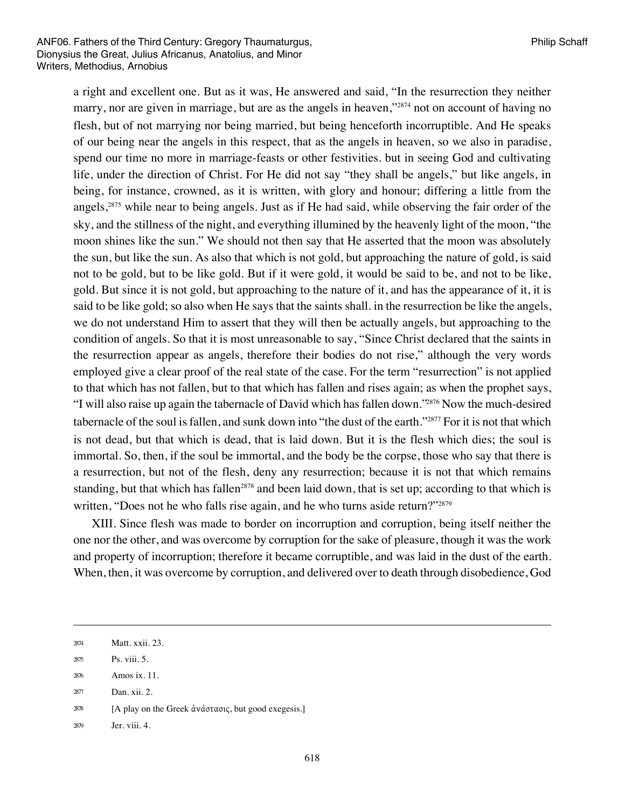a right and excellent one. But as it was, He answered and said, "In the resurrection they neither marry, nor are given in marriage, but are as the angels in heaven,"2874 not on account of having no flesh, but of not marrying nor being married, but being henceforth incorruptible. And He speaks of our being near the angels in this respect, that as the angels in heaven, so we also in paradise, spend our time no more in marriage-feasts or other festivities. but in seeing God and cultivating life, under the direction of Christ. For He did not say "they shall be angels," but like angels, in being, for instance, crowned, as it is written, with glory and honour; differing a little from the angels,2875 while near to being angels. Just as if He had said, while observing the fair order of the sky, and the stillness of the night, and everything illumined by the heavenly light of the moon, "the moon shines like the sun." We should not then say that He asserted that the moon was absolutely the sun, but like the sun. As also that which is not gold, but approaching the nature of gold, is said not to be gold, but to be like gold. But if it were gold, it would be said to be, and not to be like, gold. But since it is not gold, but approaching to the nature of it, and has the appearance of it, it is said to be like gold; so also when He says that the saints shall. in the resurrection be like the angels, we do not understand Him to assert that they will then be actually angels, but approaching to the condition of angels. So that it is most unreasonable to say, "Since Christ declared that the saints in the resurrection appear as angels, therefore their bodies do not rise," although the very words employed give a clear proof of the real state of the case. For the term "resurrection" is not applied to that which has not fallen, but to that which has fallen and rises again; as when the prophet says, "I will also raise up again the tabernacle of David which has fallen down."2876 Now the much-desired tabernacle of the soul is fallen, and sunk down into "the dust of the earth."2877 For it is not that which is not dead, but that which is dead, that is laid down. But it is the flesh which dies; the soul is immortal. So, then, if the soul be immortal, and the body be the corpse, those who say that there is a resurrection, but not of the flesh, deny any resurrection; because it is not that which remains standing, but that which has fallen<sup>2878</sup> and been laid down, that is set up; according to that which is written, "Does not he who falls rise again, and he who turns aside return?"<sup>2879</sup>

XIII. Since flesh was made to border on incorruption and corruption, being itself neither the one nor the other, and was overcome by corruption for the sake of pleasure, though it was the work and property of incorruption; therefore it became corruptible, and was laid in the dust of the earth. When, then, it was overcome by corruption, and delivered over to death through disobedience, God

- 2876 [Amos ix. 11.](http://www.ccel.org/ccel/bible/asv.Amos.9.html#Amos.9.11)
- <sup>2877</sup> [Dan. xii. 2](http://www.ccel.org/ccel/bible/asv.Dan.12.html#Dan.12.2).

<sup>2879</sup> [Jer. viii. 4](http://www.ccel.org/ccel/bible/asv.Jer.8.html#Jer.8.4).

<sup>2874</sup> [Matt. xxii. 23](http://www.ccel.org/ccel/bible/asv.Matt.22.html#Matt.22.23).

<sup>2875</sup> [Ps. viii. 5](http://www.ccel.org/ccel/bible/asv.Ps.8.html#Ps.8.5).

<sup>2878</sup> [A play on the Greek ἀνάστασις, but good exegesis.]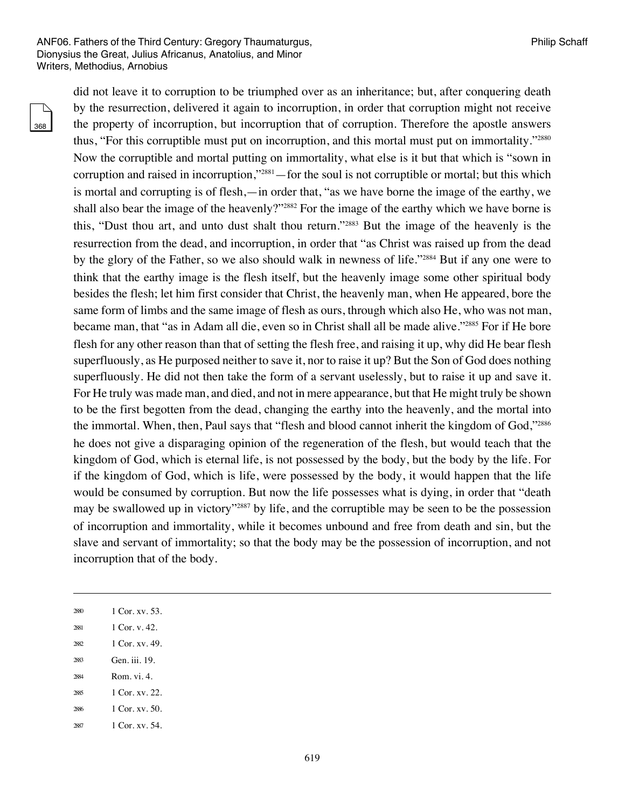

did not leave it to corruption to be triumphed over as an inheritance; but, after conquering death by the resurrection, delivered it again to incorruption, in order that corruption might not receive the property of incorruption, but incorruption that of corruption. Therefore the apostle answers thus, "For this corruptible must put on incorruption, and this mortal must put on immortality."2880 Now the corruptible and mortal putting on immortality, what else is it but that which is "sown in corruption and raised in incorruption,"2881—for the soul is not corruptible or mortal; but this which is mortal and corrupting is of flesh,—in order that, "as we have borne the image of the earthy, we shall also bear the image of the heavenly?"<sup>2882</sup> For the image of the earthy which we have borne is this, "Dust thou art, and unto dust shalt thou return."2883 But the image of the heavenly is the resurrection from the dead, and incorruption, in order that "as Christ was raised up from the dead by the glory of the Father, so we also should walk in newness of life."2884 But if any one were to think that the earthy image is the flesh itself, but the heavenly image some other spiritual body besides the flesh; let him first consider that Christ, the heavenly man, when He appeared, bore the same form of limbs and the same image of flesh as ours, through which also He, who was not man, became man, that "as in Adam all die, even so in Christ shall all be made alive."2885 For if He bore flesh for any other reason than that of setting the flesh free, and raising it up, why did He bear flesh superfluously, as He purposed neither to save it, nor to raise it up? But the Son of God does nothing superfluously. He did not then take the form of a servant uselessly, but to raise it up and save it. For He truly was made man, and died, and not in mere appearance, but that He might truly be shown to be the first begotten from the dead, changing the earthy into the heavenly, and the mortal into the immortal. When, then, Paul says that "flesh and blood cannot inherit the kingdom of God,"2886 he does not give a disparaging opinion of the regeneration of the flesh, but would teach that the kingdom of God, which is eternal life, is not possessed by the body, but the body by the life. For if the kingdom of God, which is life, were possessed by the body, it would happen that the life would be consumed by corruption. But now the life possesses what is dying, in order that "death may be swallowed up in victory"2887 by life, and the corruptible may be seen to be the possession of incorruption and immortality, while it becomes unbound and free from death and sin, but the slave and servant of immortality; so that the body may be the possession of incorruption, and not incorruption that of the body.

- 2880 [1 Cor. xv. 53](http://www.ccel.org/ccel/bible/asv.iCor.15.html#iCor.15.53).
- 2881 [1 Cor. v. 42.](http://www.ccel.org/ccel/bible/asv.iCor.5.html#iCor.5.42)
- 2882 [1 Cor. xv. 49](http://www.ccel.org/ccel/bible/asv.iCor.15.html#iCor.15.49).
- 2883 [Gen. iii. 19.](http://www.ccel.org/ccel/bible/asv.Gen.3.html#Gen.3.19)
- 2884 [Rom. vi. 4](http://www.ccel.org/ccel/bible/asv.Rom.6.html#Rom.6.4).
- <sup>2885</sup> [1 Cor. xv. 22](http://www.ccel.org/ccel/bible/asv.iCor.15.html#iCor.15.22).
- <sup>2886</sup> [1 Cor. xv. 50](http://www.ccel.org/ccel/bible/asv.iCor.15.html#iCor.15.50).
- <sup>2887</sup> [1 Cor. xv. 54](http://www.ccel.org/ccel/bible/asv.iCor.15.html#iCor.15.54).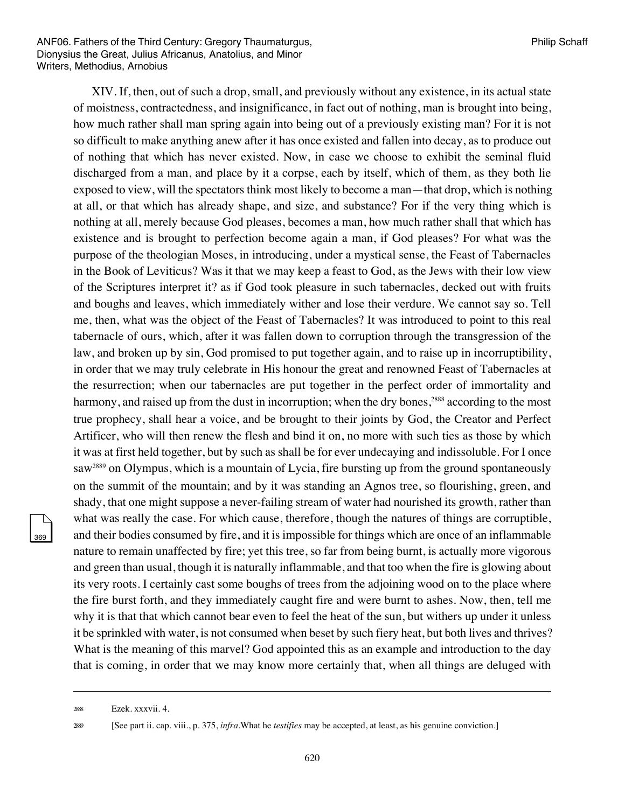XIV. If, then, out of such a drop, small, and previously without any existence, in its actual state of moistness, contractedness, and insignificance, in fact out of nothing, man is brought into being, how much rather shall man spring again into being out of a previously existing man? For it is not so difficult to make anything anew after it has once existed and fallen into decay, as to produce out of nothing that which has never existed. Now, in case we choose to exhibit the seminal fluid discharged from a man, and place by it a corpse, each by itself, which of them, as they both lie exposed to view, will the spectators think most likely to become a man—that drop, which is nothing at all, or that which has already shape, and size, and substance? For if the very thing which is nothing at all, merely because God pleases, becomes a man, how much rather shall that which has existence and is brought to perfection become again a man, if God pleases? For what was the purpose of the theologian Moses, in introducing, under a mystical sense, the Feast of Tabernacles in the Book of Leviticus? Was it that we may keep a feast to God, as the Jews with their low view of the Scriptures interpret it? as if God took pleasure in such tabernacles, decked out with fruits and boughs and leaves, which immediately wither and lose their verdure. We cannot say so. Tell me, then, what was the object of the Feast of Tabernacles? It was introduced to point to this real tabernacle of ours, which, after it was fallen down to corruption through the transgression of the law, and broken up by sin, God promised to put together again, and to raise up in incorruptibility, in order that we may truly celebrate in His honour the great and renowned Feast of Tabernacles at the resurrection; when our tabernacles are put together in the perfect order of immortality and harmony, and raised up from the dust in incorruption; when the dry bones,<sup>2888</sup> according to the most true prophecy, shall hear a voice, and be brought to their joints by God, the Creator and Perfect Artificer, who will then renew the flesh and bind it on, no more with such ties as those by which it was at first held together, but by such as shall be for ever undecaying and indissoluble. For I once saw<sup>2889</sup> on Olympus, which is a mountain of Lycia, fire bursting up from the ground spontaneously on the summit of the mountain; and by it was standing an Agnos tree, so flourishing, green, and shady, that one might suppose a never-failing stream of water had nourished its growth, rather than what was really the case. For which cause, therefore, though the natures of things are corruptible, and their bodies consumed by fire, and it is impossible for things which are once of an inflammable nature to remain unaffected by fire; yet this tree, so far from being burnt, is actually more vigorous and green than usual, though it is naturally inflammable, and that too when the fire is glowing about its very roots. I certainly cast some boughs of trees from the adjoining wood on to the place where the fire burst forth, and they immediately caught fire and were burnt to ashes. Now, then, tell me why it is that that which cannot bear even to feel the heat of the sun, but withers up under it unless it be sprinkled with water, is not consumed when beset by such fiery heat, but both lives and thrives? What is the meaning of this marvel? God appointed this as an example and introduction to the day that is coming, in order that we may know more certainly that, when all things are deluged with

<sup>2888</sup> [Ezek. xxxvii. 4.](http://www.ccel.org/ccel/bible/asv.Ezek.37.html#Ezek.37.4)

<sup>2889</sup> [See part ii. cap. viii., p. 375, *infra.*What he *testifies* may be accepted, at least, as his genuine conviction.]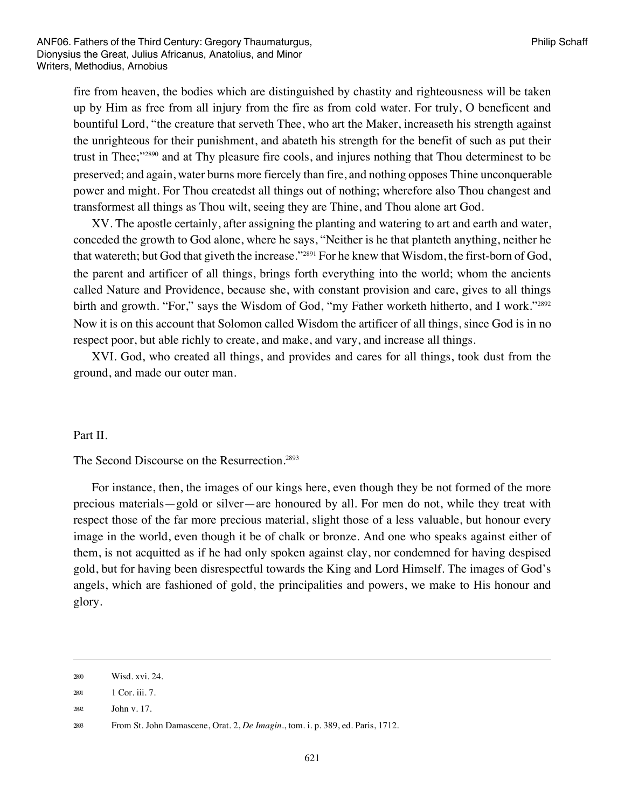fire from heaven, the bodies which are distinguished by chastity and righteousness will be taken up by Him as free from all injury from the fire as from cold water. For truly, O beneficent and bountiful Lord, "the creature that serveth Thee, who art the Maker, increaseth his strength against the unrighteous for their punishment, and abateth his strength for the benefit of such as put their trust in Thee;"2890 and at Thy pleasure fire cools, and injures nothing that Thou determinest to be preserved; and again, water burns more fiercely than fire, and nothing opposes Thine unconquerable power and might. For Thou createdst all things out of nothing; wherefore also Thou changest and transformest all things as Thou wilt, seeing they are Thine, and Thou alone art God.

XV. The apostle certainly, after assigning the planting and watering to art and earth and water, conceded the growth to God alone, where he says, "Neither is he that planteth anything, neither he that watereth; but God that giveth the increase."2891 For he knew that Wisdom, the first-born of God, the parent and artificer of all things, brings forth everything into the world; whom the ancients called Nature and Providence, because she, with constant provision and care, gives to all things birth and growth. "For," says the Wisdom of God, "my Father worketh hitherto, and I work."<sup>2892</sup> Now it is on this account that Solomon called Wisdom the artificer of all things, since God is in no respect poor, but able richly to create, and make, and vary, and increase all things.

XVI. God, who created all things, and provides and cares for all things, took dust from the ground, and made our outer man.

## Part II.

The Second Discourse on the Resurrection.2893

For instance, then, the images of our kings here, even though they be not formed of the more precious materials—gold or silver—are honoured by all. For men do not, while they treat with respect those of the far more precious material, slight those of a less valuable, but honour every image in the world, even though it be of chalk or bronze. And one who speaks against either of them, is not acquitted as if he had only spoken against clay, nor condemned for having despised gold, but for having been disrespectful towards the King and Lord Himself. The images of God's angels, which are fashioned of gold, the principalities and powers, we make to His honour and glory.

<sup>2890</sup> [Wisd. xvi. 24.](http://www.ccel.org/ccel/bible/asv.Wis.16.html#Wis.16.24)

<sup>2891</sup> [1 Cor. iii. 7](http://www.ccel.org/ccel/bible/asv.iCor.3.html#iCor.3.7).

<sup>2892</sup> [John v. 17](http://www.ccel.org/ccel/bible/asv.John.5.html#John.5.17).

<sup>2893</sup> From St. John Damascene, Orat. 2, *De Imagin.*, tom. i. p. 389, ed. Paris, 1712.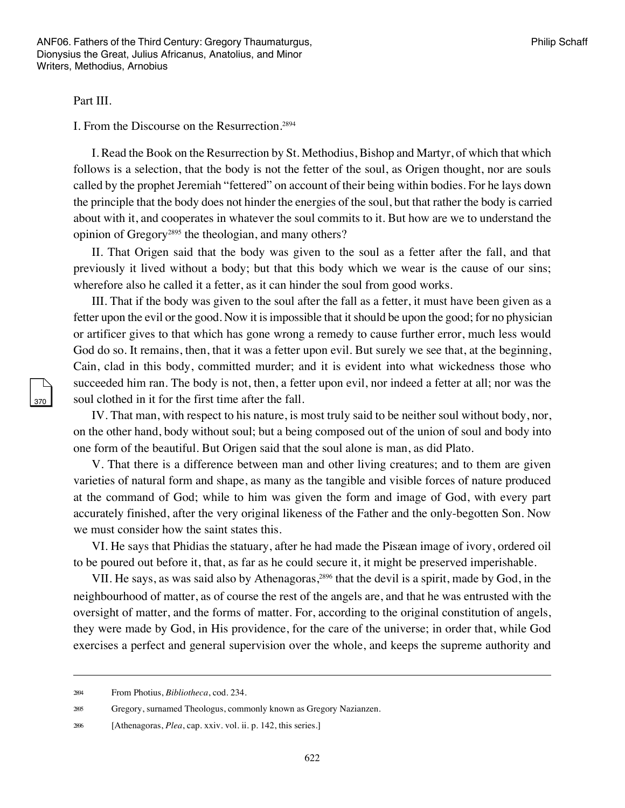## Part III.

[370](http://www.ccel.org/ccel/schaff/anf06/Page_370.html)

I. From the Discourse on the Resurrection.2894

I. Read the Book on the Resurrection by St. Methodius, Bishop and Martyr, of which that which follows is a selection, that the body is not the fetter of the soul, as Origen thought, nor are souls called by the prophet Jeremiah "fettered" on account of their being within bodies. For he lays down the principle that the body does not hinder the energies of the soul, but that rather the body is carried about with it, and cooperates in whatever the soul commits to it. But how are we to understand the opinion of Gregory2895 the theologian, and many others?

II. That Origen said that the body was given to the soul as a fetter after the fall, and that previously it lived without a body; but that this body which we wear is the cause of our sins; wherefore also he called it a fetter, as it can hinder the soul from good works.

III. That if the body was given to the soul after the fall as a fetter, it must have been given as a fetter upon the evil or the good. Now it is impossible that it should be upon the good; for no physician or artificer gives to that which has gone wrong a remedy to cause further error, much less would God do so. It remains, then, that it was a fetter upon evil. But surely we see that, at the beginning, Cain, clad in this body, committed murder; and it is evident into what wickedness those who succeeded him ran. The body is not, then, a fetter upon evil, nor indeed a fetter at all; nor was the soul clothed in it for the first time after the fall.

IV. That man, with respect to his nature, is most truly said to be neither soul without body, nor, on the other hand, body without soul; but a being composed out of the union of soul and body into one form of the beautiful. But Origen said that the soul alone is man, as did Plato.

V. That there is a difference between man and other living creatures; and to them are given varieties of natural form and shape, as many as the tangible and visible forces of nature produced at the command of God; while to him was given the form and image of God, with every part accurately finished, after the very original likeness of the Father and the only-begotten Son. Now we must consider how the saint states this.

VI. He says that Phidias the statuary, after he had made the Pisæan image of ivory, ordered oil to be poured out before it, that, as far as he could secure it, it might be preserved imperishable.

VII. He says, as was said also by Athenagoras,<sup>2896</sup> that the devil is a spirit, made by God, in the neighbourhood of matter, as of course the rest of the angels are, and that he was entrusted with the oversight of matter, and the forms of matter. For, according to the original constitution of angels, they were made by God, in His providence, for the care of the universe; in order that, while God exercises a perfect and general supervision over the whole, and keeps the supreme authority and

<sup>2894</sup> From Photius, *Bibliotheca*, cod. 234.

<sup>2895</sup> Gregory, surnamed Theologus, commonly known as Gregory Nazianzen.

<sup>2896</sup> [Athenagoras, *Plea*, cap. xxiv. vol. ii. p. 142, this series.]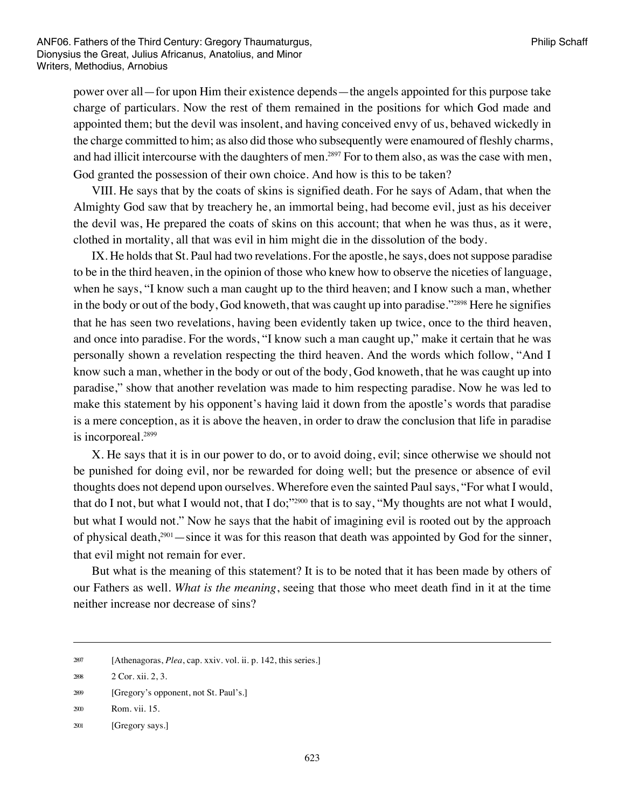power over all—for upon Him their existence depends—the angels appointed for this purpose take charge of particulars. Now the rest of them remained in the positions for which God made and appointed them; but the devil was insolent, and having conceived envy of us, behaved wickedly in the charge committed to him; as also did those who subsequently were enamoured of fleshly charms, and had illicit intercourse with the daughters of men.<sup>2897</sup> For to them also, as was the case with men, God granted the possession of their own choice. And how is this to be taken?

VIII. He says that by the coats of skins is signified death. For he says of Adam, that when the Almighty God saw that by treachery he, an immortal being, had become evil, just as his deceiver the devil was, He prepared the coats of skins on this account; that when he was thus, as it were, clothed in mortality, all that was evil in him might die in the dissolution of the body.

IX. He holds that St. Paul had two revelations. For the apostle, he says, does not suppose paradise to be in the third heaven, in the opinion of those who knew how to observe the niceties of language, when he says, "I know such a man caught up to the third heaven; and I know such a man, whether in the body or out of the body, God knoweth, that was caught up into paradise."2898 Here he signifies that he has seen two revelations, having been evidently taken up twice, once to the third heaven, and once into paradise. For the words, "I know such a man caught up," make it certain that he was personally shown a revelation respecting the third heaven. And the words which follow, "And I know such a man, whether in the body or out of the body, God knoweth, that he was caught up into paradise," show that another revelation was made to him respecting paradise. Now he was led to make this statement by his opponent's having laid it down from the apostle's words that paradise is a mere conception, as it is above the heaven, in order to draw the conclusion that life in paradise is incorporeal.2899

X. He says that it is in our power to do, or to avoid doing, evil; since otherwise we should not be punished for doing evil, nor be rewarded for doing well; but the presence or absence of evil thoughts does not depend upon ourselves. Wherefore even the sainted Paul says, "For what I would, that do I not, but what I would not, that I do;"2900 that is to say, "My thoughts are not what I would, but what I would not." Now he says that the habit of imagining evil is rooted out by the approach of physical death,<sup>2901</sup>—since it was for this reason that death was appointed by God for the sinner, that evil might not remain for ever.

But what is the meaning of this statement? It is to be noted that it has been made by others of our Fathers as well. *What is the meaning*, seeing that those who meet death find in it at the time neither increase nor decrease of sins?

- <sup>2899</sup> [Gregory's opponent, not St. Paul's.]
- <sup>2900</sup> [Rom. vii. 15](http://www.ccel.org/ccel/bible/asv.Rom.7.html#Rom.7.15).
- <sup>2901</sup> [Gregory says.]

<sup>2897</sup> [Athenagoras, *Plea*, cap. xxiv. vol. ii. p. 142, this series.]

<sup>2898</sup> [2 Cor. xii. 2, 3.](http://www.ccel.org/ccel/bible/asv.iiCor.12.html#iiCor.12.2)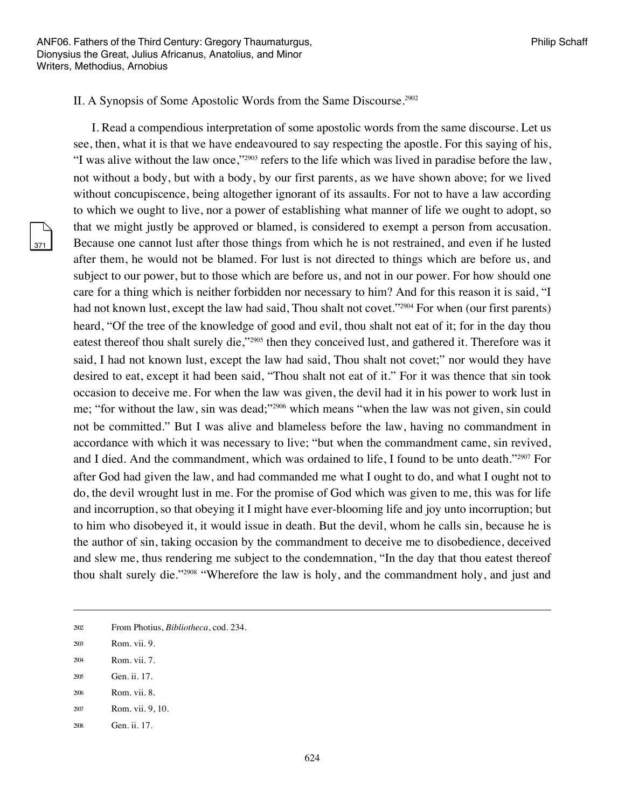II. A Synopsis of Some Apostolic Words from the Same Discourse.<sup>2902</sup>

I. Read a compendious interpretation of some apostolic words from the same discourse. Let us see, then, what it is that we have endeavoured to say respecting the apostle. For this saying of his, "I was alive without the law once,"2903 refers to the life which was lived in paradise before the law, not without a body, but with a body, by our first parents, as we have shown above; for we lived without concupiscence, being altogether ignorant of its assaults. For not to have a law according to which we ought to live, nor a power of establishing what manner of life we ought to adopt, so that we might justly be approved or blamed, is considered to exempt a person from accusation. Because one cannot lust after those things from which he is not restrained, and even if he lusted after them, he would not be blamed. For lust is not directed to things which are before us, and subject to our power, but to those which are before us, and not in our power. For how should one care for a thing which is neither forbidden nor necessary to him? And for this reason it is said, "I had not known lust, except the law had said, Thou shalt not covet."<sup>2904</sup> For when (our first parents) heard, "Of the tree of the knowledge of good and evil, thou shalt not eat of it; for in the day thou eatest thereof thou shalt surely die,"2905 then they conceived lust, and gathered it. Therefore was it said, I had not known lust, except the law had said, Thou shalt not covet;" nor would they have desired to eat, except it had been said, "Thou shalt not eat of it." For it was thence that sin took occasion to deceive me. For when the law was given, the devil had it in his power to work lust in me; "for without the law, sin was dead;"2906 which means "when the law was not given, sin could not be committed." But I was alive and blameless before the law, having no commandment in accordance with which it was necessary to live; "but when the commandment came, sin revived, and I died. And the commandment, which was ordained to life, I found to be unto death."2907 For after God had given the law, and had commanded me what I ought to do, and what I ought not to do, the devil wrought lust in me. For the promise of God which was given to me, this was for life and incorruption, so that obeying it I might have ever-blooming life and joy unto incorruption; but to him who disobeyed it, it would issue in death. But the devil, whom he calls sin, because he is the author of sin, taking occasion by the commandment to deceive me to disobedience, deceived and slew me, thus rendering me subject to the condemnation, "In the day that thou eatest thereof thou shalt surely die."2908 "Wherefore the law is holy, and the commandment holy, and just and

- 2905 [Gen. ii. 17](http://www.ccel.org/ccel/bible/asv.Gen.2.html#Gen.2.17).
- <sup>2906</sup> [Rom. vii. 8.](http://www.ccel.org/ccel/bible/asv.Rom.7.html#Rom.7.8)
- <sup>2907</sup> [Rom. vii. 9, 10](http://www.ccel.org/ccel/bible/asv.Rom.7.html#Rom.7.9).
- <sup>2908</sup> [Gen. ii. 17](http://www.ccel.org/ccel/bible/asv.Gen.2.html#Gen.2.17).

<sup>2902</sup> From Photius, *Bibliotheca*, cod. 234.

<sup>2903</sup> [Rom. vii. 9.](http://www.ccel.org/ccel/bible/asv.Rom.7.html#Rom.7.9)

<sup>2904</sup> [Rom. vii. 7.](http://www.ccel.org/ccel/bible/asv.Rom.7.html#Rom.7.7)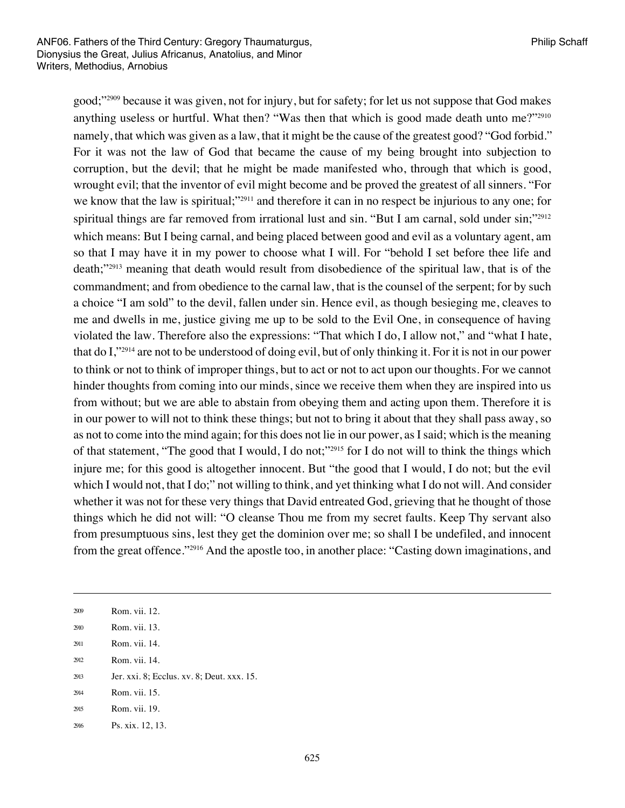good;"2909 because it was given, not for injury, but for safety; for let us not suppose that God makes anything useless or hurtful. What then? "Was then that which is good made death unto me?"<sup>2910</sup> namely, that which was given as a law, that it might be the cause of the greatest good? "God forbid." For it was not the law of God that became the cause of my being brought into subjection to corruption, but the devil; that he might be made manifested who, through that which is good, wrought evil; that the inventor of evil might become and be proved the greatest of all sinners. "For we know that the law is spiritual;"2911 and therefore it can in no respect be injurious to any one; for spiritual things are far removed from irrational lust and sin. "But I am carnal, sold under sin;"<sup>2912</sup> which means: But I being carnal, and being placed between good and evil as a voluntary agent, am so that I may have it in my power to choose what I will. For "behold I set before thee life and death;"2913 meaning that death would result from disobedience of the spiritual law, that is of the commandment; and from obedience to the carnal law, that is the counsel of the serpent; for by such a choice "I am sold" to the devil, fallen under sin. Hence evil, as though besieging me, cleaves to me and dwells in me, justice giving me up to be sold to the Evil One, in consequence of having violated the law. Therefore also the expressions: "That which I do, I allow not," and "what I hate, that do I,"2914 are not to be understood of doing evil, but of only thinking it. For it is not in our power to think or not to think of improper things, but to act or not to act upon our thoughts. For we cannot hinder thoughts from coming into our minds, since we receive them when they are inspired into us from without; but we are able to abstain from obeying them and acting upon them. Therefore it is in our power to will not to think these things; but not to bring it about that they shall pass away, so as not to come into the mind again; for this does not lie in our power, as I said; which is the meaning of that statement, "The good that I would, I do not;"<sup>2915</sup> for I do not will to think the things which injure me; for this good is altogether innocent. But "the good that I would, I do not; but the evil which I would not, that I do;" not willing to think, and yet thinking what I do not will. And consider whether it was not for these very things that David entreated God, grieving that he thought of those things which he did not will: "O cleanse Thou me from my secret faults. Keep Thy servant also from presumptuous sins, lest they get the dominion over me; so shall I be undefiled, and innocent from the great offence."2916 And the apostle too, in another place: "Casting down imaginations, and

- 2913 [Jer. xxi. 8;](http://www.ccel.org/ccel/bible/asv.Jer.21.html#Jer.21.8) [Ecclus. xv. 8;](http://www.ccel.org/ccel/bible/asv.Sir.15.html#Sir.15.8) [Deut. xxx. 15.](http://www.ccel.org/ccel/bible/asv.Deut.30.html#Deut.30.15)
- <sup>2914</sup> [Rom. vii. 15](http://www.ccel.org/ccel/bible/asv.Rom.7.html#Rom.7.15).
- <sup>2915</sup> [Rom. vii. 19](http://www.ccel.org/ccel/bible/asv.Rom.7.html#Rom.7.19).

<sup>2909</sup> [Rom. vii. 12](http://www.ccel.org/ccel/bible/asv.Rom.7.html#Rom.7.12).

<sup>2910</sup> [Rom. vii. 13](http://www.ccel.org/ccel/bible/asv.Rom.7.html#Rom.7.13).

<sup>2911</sup> [Rom. vii. 14](http://www.ccel.org/ccel/bible/asv.Rom.7.html#Rom.7.14).

<sup>2912</sup> [Rom. vii. 14](http://www.ccel.org/ccel/bible/asv.Rom.7.html#Rom.7.14).

<sup>2916</sup> [Ps. xix. 12, 13.](http://www.ccel.org/ccel/bible/asv.Ps.19.html#Ps.19.12)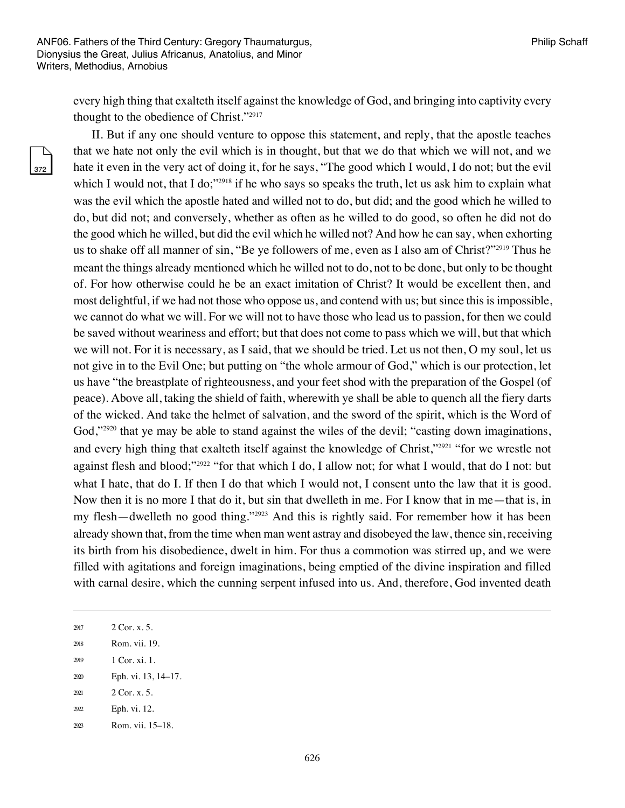[372](http://www.ccel.org/ccel/schaff/anf06/Page_372.html)

every high thing that exalteth itself against the knowledge of God, and bringing into captivity every thought to the obedience of Christ."2917

II. But if any one should venture to oppose this statement, and reply, that the apostle teaches that we hate not only the evil which is in thought, but that we do that which we will not, and we hate it even in the very act of doing it, for he says, "The good which I would, I do not; but the evil which I would not, that I do;"2918 if he who says so speaks the truth, let us ask him to explain what was the evil which the apostle hated and willed not to do, but did; and the good which he willed to do, but did not; and conversely, whether as often as he willed to do good, so often he did not do the good which he willed, but did the evil which he willed not? And how he can say, when exhorting us to shake off all manner of sin, "Be ye followers of me, even as I also am of Christ?"2919 Thus he meant the things already mentioned which he willed not to do, not to be done, but only to be thought of. For how otherwise could he be an exact imitation of Christ? It would be excellent then, and most delightful, if we had not those who oppose us, and contend with us; but since this is impossible, we cannot do what we will. For we will not to have those who lead us to passion, for then we could be saved without weariness and effort; but that does not come to pass which we will, but that which we will not. For it is necessary, as I said, that we should be tried. Let us not then, O my soul, let us not give in to the Evil One; but putting on "the whole armour of God," which is our protection, let us have "the breastplate of righteousness, and your feet shod with the preparation of the Gospel (of peace). Above all, taking the shield of faith, wherewith ye shall be able to quench all the fiery darts of the wicked. And take the helmet of salvation, and the sword of the spirit, which is the Word of God,"<sup>2920</sup> that ye may be able to stand against the wiles of the devil; "casting down imaginations, and every high thing that exalteth itself against the knowledge of Christ,"2921 "for we wrestle not against flesh and blood;"2922 "for that which I do, I allow not; for what I would, that do I not: but what I hate, that do I. If then I do that which I would not, I consent unto the law that it is good. Now then it is no more I that do it, but sin that dwelleth in me. For I know that in me—that is, in my flesh—dwelleth no good thing."2923 And this is rightly said. For remember how it has been already shown that, from the time when man went astray and disobeyed the law, thence sin, receiving its birth from his disobedience, dwelt in him. For thus a commotion was stirred up, and we were filled with agitations and foreign imaginations, being emptied of the divine inspiration and filled with carnal desire, which the cunning serpent infused into us. And, therefore, God invented death

- 2919 [1 Cor. xi. 1.](http://www.ccel.org/ccel/bible/asv.iCor.11.html#iCor.11.1)
- 2920 [Eph. vi. 13, 14–17.](http://www.ccel.org/ccel/bible/asv...html#..)
- <sup>2921</sup> [2 Cor. x. 5](http://www.ccel.org/ccel/bible/asv.iiCor.10.html#iiCor.10.5).
- <sup>2922</sup> [Eph. vi. 12.](http://www.ccel.org/ccel/bible/asv.Eph.6.html#Eph.6.12)

<sup>2917</sup> [2 Cor. x. 5](http://www.ccel.org/ccel/bible/asv.iiCor.10.html#iiCor.10.5).

<sup>2918</sup> [Rom. vii. 19](http://www.ccel.org/ccel/bible/asv.Rom.7.html#Rom.7.19).

<sup>2923</sup> [Rom. vii. 15–18.](http://www.ccel.org/ccel/bible/asv.Rom.7.html#Rom.7.15)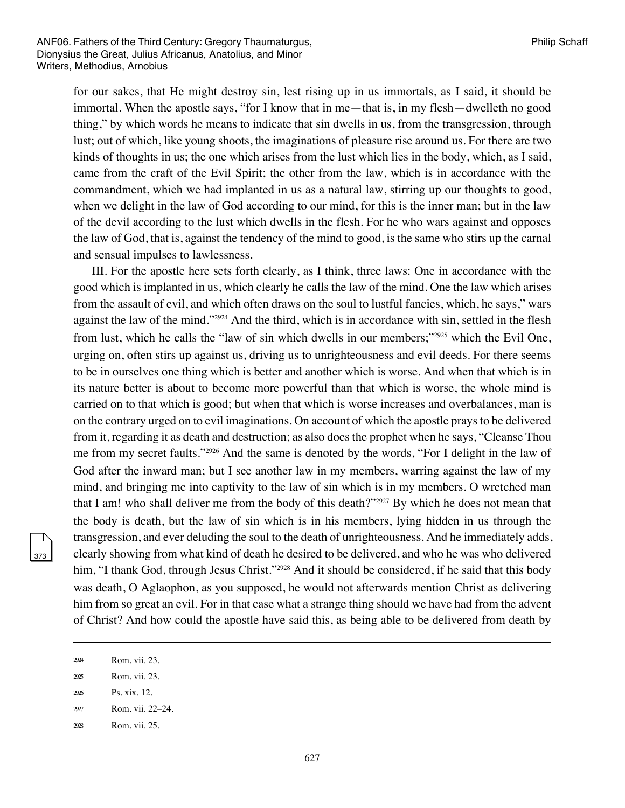for our sakes, that He might destroy sin, lest rising up in us immortals, as I said, it should be immortal. When the apostle says, "for I know that in me—that is, in my flesh—dwelleth no good thing," by which words he means to indicate that sin dwells in us, from the transgression, through lust; out of which, like young shoots, the imaginations of pleasure rise around us. For there are two kinds of thoughts in us; the one which arises from the lust which lies in the body, which, as I said, came from the craft of the Evil Spirit; the other from the law, which is in accordance with the commandment, which we had implanted in us as a natural law, stirring up our thoughts to good, when we delight in the law of God according to our mind, for this is the inner man; but in the law of the devil according to the lust which dwells in the flesh. For he who wars against and opposes the law of God, that is, against the tendency of the mind to good, is the same who stirs up the carnal and sensual impulses to lawlessness.

III. For the apostle here sets forth clearly, as I think, three laws: One in accordance with the good which is implanted in us, which clearly he calls the law of the mind. One the law which arises from the assault of evil, and which often draws on the soul to lustful fancies, which, he says," wars against the law of the mind."2924 And the third, which is in accordance with sin, settled in the flesh from lust, which he calls the "law of sin which dwells in our members;"2925 which the Evil One, urging on, often stirs up against us, driving us to unrighteousness and evil deeds. For there seems to be in ourselves one thing which is better and another which is worse. And when that which is in its nature better is about to become more powerful than that which is worse, the whole mind is carried on to that which is good; but when that which is worse increases and overbalances, man is on the contrary urged on to evil imaginations. On account of which the apostle prays to be delivered from it, regarding it as death and destruction; as also does the prophet when he says, "Cleanse Thou me from my secret faults."2926 And the same is denoted by the words, "For I delight in the law of God after the inward man; but I see another law in my members, warring against the law of my mind, and bringing me into captivity to the law of sin which is in my members. O wretched man that I am! who shall deliver me from the body of this death?"2927 By which he does not mean that the body is death, but the law of sin which is in his members, lying hidden in us through the transgression, and ever deluding the soul to the death of unrighteousness. And he immediately adds, clearly showing from what kind of death he desired to be delivered, and who he was who delivered him, "I thank God, through Jesus Christ."<sup>2928</sup> And it should be considered, if he said that this body was death, O Aglaophon, as you supposed, he would not afterwards mention Christ as delivering him from so great an evil. For in that case what a strange thing should we have had from the advent of Christ? And how could the apostle have said this, as being able to be delivered from death by

<sup>2926</sup> [Ps. xix. 12](http://www.ccel.org/ccel/bible/asv.Ps.19.html#Ps.19.12).

[373](http://www.ccel.org/ccel/schaff/anf06/Page_373.html)

<sup>2928</sup> [Rom. vii. 25](http://www.ccel.org/ccel/bible/asv.Rom.7.html#Rom.7.25).

<sup>2924</sup> [Rom. vii. 23](http://www.ccel.org/ccel/bible/asv.Rom.7.html#Rom.7.23).

<sup>2925</sup> [Rom. vii. 23](http://www.ccel.org/ccel/bible/asv.Rom.7.html#Rom.7.23).

<sup>2927</sup> [Rom. vii. 22–24.](http://www.ccel.org/ccel/bible/asv.Rom.7.html#Rom.7.22)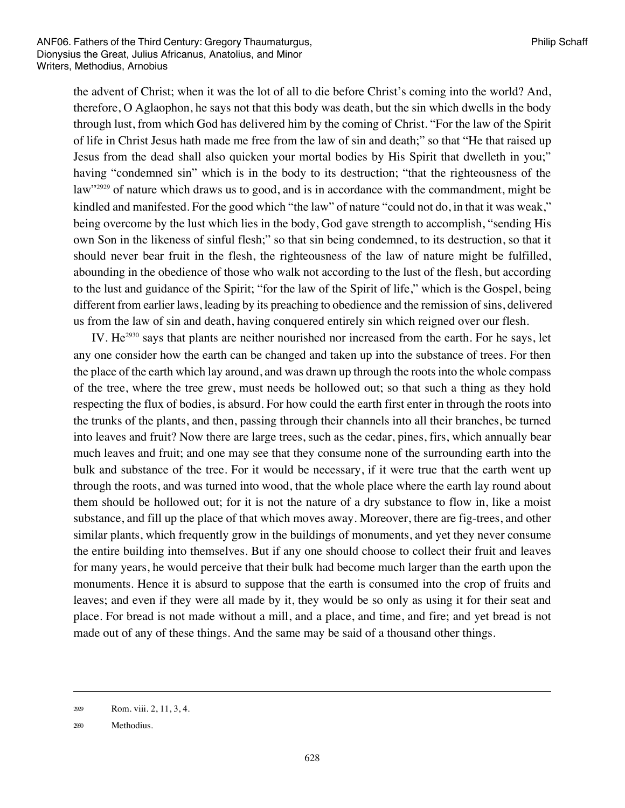the advent of Christ; when it was the lot of all to die before Christ's coming into the world? And, therefore, O Aglaophon, he says not that this body was death, but the sin which dwells in the body through lust, from which God has delivered him by the coming of Christ. "For the law of the Spirit of life in Christ Jesus hath made me free from the law of sin and death;" so that "He that raised up Jesus from the dead shall also quicken your mortal bodies by His Spirit that dwelleth in you;" having "condemned sin" which is in the body to its destruction; "that the righteousness of the law"<sup>2929</sup> of nature which draws us to good, and is in accordance with the commandment, might be kindled and manifested. For the good which "the law" of nature "could not do, in that it was weak," being overcome by the lust which lies in the body, God gave strength to accomplish, "sending His own Son in the likeness of sinful flesh;" so that sin being condemned, to its destruction, so that it should never bear fruit in the flesh, the righteousness of the law of nature might be fulfilled, abounding in the obedience of those who walk not according to the lust of the flesh, but according to the lust and guidance of the Spirit; "for the law of the Spirit of life," which is the Gospel, being different from earlier laws, leading by its preaching to obedience and the remission of sins, delivered us from the law of sin and death, having conquered entirely sin which reigned over our flesh.

IV. He<sup>2930</sup> says that plants are neither nourished nor increased from the earth. For he says, let any one consider how the earth can be changed and taken up into the substance of trees. For then the place of the earth which lay around, and was drawn up through the roots into the whole compass of the tree, where the tree grew, must needs be hollowed out; so that such a thing as they hold respecting the flux of bodies, is absurd. For how could the earth first enter in through the roots into the trunks of the plants, and then, passing through their channels into all their branches, be turned into leaves and fruit? Now there are large trees, such as the cedar, pines, firs, which annually bear much leaves and fruit; and one may see that they consume none of the surrounding earth into the bulk and substance of the tree. For it would be necessary, if it were true that the earth went up through the roots, and was turned into wood, that the whole place where the earth lay round about them should be hollowed out; for it is not the nature of a dry substance to flow in, like a moist substance, and fill up the place of that which moves away. Moreover, there are fig-trees, and other similar plants, which frequently grow in the buildings of monuments, and yet they never consume the entire building into themselves. But if any one should choose to collect their fruit and leaves for many years, he would perceive that their bulk had become much larger than the earth upon the monuments. Hence it is absurd to suppose that the earth is consumed into the crop of fruits and leaves; and even if they were all made by it, they would be so only as using it for their seat and place. For bread is not made without a mill, and a place, and time, and fire; and yet bread is not made out of any of these things. And the same may be said of a thousand other things.

<sup>2929</sup> Rom. viii. 2, 11, 3, 4.

<sup>2930</sup> Methodius.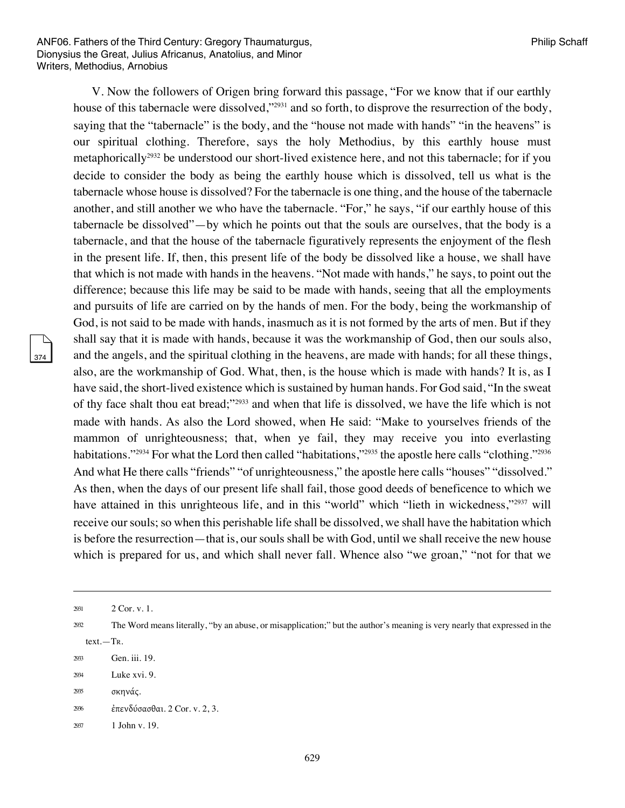V. Now the followers of Origen bring forward this passage, "For we know that if our earthly house of this tabernacle were dissolved,"2931 and so forth, to disprove the resurrection of the body, saying that the "tabernacle" is the body, and the "house not made with hands" "in the heavens" is our spiritual clothing. Therefore, says the holy Methodius, by this earthly house must metaphorically<sup>2932</sup> be understood our short-lived existence here, and not this tabernacle; for if you decide to consider the body as being the earthly house which is dissolved, tell us what is the tabernacle whose house is dissolved? For the tabernacle is one thing, and the house of the tabernacle another, and still another we who have the tabernacle. "For," he says, "if our earthly house of this tabernacle be dissolved"—by which he points out that the souls are ourselves, that the body is a tabernacle, and that the house of the tabernacle figuratively represents the enjoyment of the flesh in the present life. If, then, this present life of the body be dissolved like a house, we shall have that which is not made with hands in the heavens. "Not made with hands," he says, to point out the difference; because this life may be said to be made with hands, seeing that all the employments and pursuits of life are carried on by the hands of men. For the body, being the workmanship of God, is not said to be made with hands, inasmuch as it is not formed by the arts of men. But if they shall say that it is made with hands, because it was the workmanship of God, then our souls also, and the angels, and the spiritual clothing in the heavens, are made with hands; for all these things, also, are the workmanship of God. What, then, is the house which is made with hands? It is, as I have said, the short-lived existence which is sustained by human hands. For God said, "In the sweat of thy face shalt thou eat bread;"2933 and when that life is dissolved, we have the life which is not made with hands. As also the Lord showed, when He said: "Make to yourselves friends of the mammon of unrighteousness; that, when ye fail, they may receive you into everlasting habitations."<sup>2934</sup> For what the Lord then called "habitations,"<sup>2935</sup> the apostle here calls "clothing."<sup>2936</sup> And what He there calls "friends" "of unrighteousness," the apostle here calls "houses" "dissolved." As then, when the days of our present life shall fail, those good deeds of beneficence to which we have attained in this unrighteous life, and in this "world" which "lieth in wickedness,"2937 will receive our souls; so when this perishable life shall be dissolved, we shall have the habitation which is before the resurrection—that is, our souls shall be with God, until we shall receive the new house which is prepared for us, and which shall never fall. Whence also "we groan," "not for that we

[374](http://www.ccel.org/ccel/schaff/anf06/Page_374.html)

<sup>2935</sup> σκηνάς.

<sup>2931</sup> [2 Cor. v. 1](http://www.ccel.org/ccel/bible/asv.iiCor.5.html#iiCor.5.1).

<sup>2932</sup> The Word means literally, "by an abuse, or misapplication;" but the author's meaning is very nearly that expressed in the text.—TR.

<sup>2933</sup> [Gen. iii. 19.](http://www.ccel.org/ccel/bible/asv.Gen.3.html#Gen.3.19)

<sup>2934</sup> [Luke xvi. 9](http://www.ccel.org/ccel/bible/asv.Luke.16.html#Luke.16.9).

<sup>2936</sup> ἐπενδύσασθαι. [2 Cor. v. 2, 3.](http://www.ccel.org/ccel/bible/asv.iiCor.5.html#iiCor.5.2)

<sup>2937</sup> [1 John v. 19](http://www.ccel.org/ccel/bible/asv.iJohn.5.html#iJohn.5.19).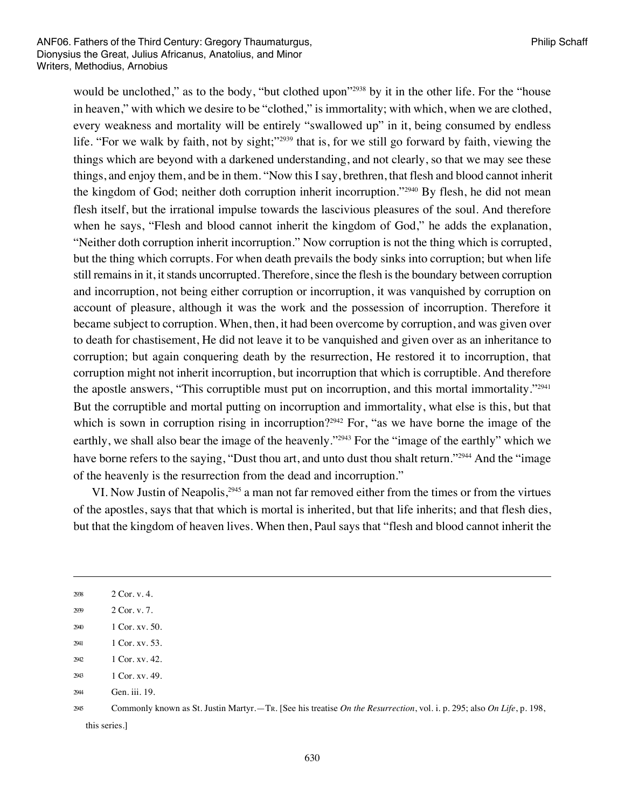would be unclothed," as to the body, "but clothed upon"<sup>2938</sup> by it in the other life. For the "house in heaven," with which we desire to be "clothed," is immortality; with which, when we are clothed, every weakness and mortality will be entirely "swallowed up" in it, being consumed by endless life. "For we walk by faith, not by sight;"2939 that is, for we still go forward by faith, viewing the things which are beyond with a darkened understanding, and not clearly, so that we may see these things, and enjoy them, and be in them. "Now this I say, brethren, that flesh and blood cannot inherit the kingdom of God; neither doth corruption inherit incorruption."2940 By flesh, he did not mean flesh itself, but the irrational impulse towards the lascivious pleasures of the soul. And therefore when he says, "Flesh and blood cannot inherit the kingdom of God," he adds the explanation, "Neither doth corruption inherit incorruption." Now corruption is not the thing which is corrupted, but the thing which corrupts. For when death prevails the body sinks into corruption; but when life still remains in it, it stands uncorrupted. Therefore, since the flesh is the boundary between corruption and incorruption, not being either corruption or incorruption, it was vanquished by corruption on account of pleasure, although it was the work and the possession of incorruption. Therefore it became subject to corruption. When, then, it had been overcome by corruption, and was given over to death for chastisement, He did not leave it to be vanquished and given over as an inheritance to corruption; but again conquering death by the resurrection, He restored it to incorruption, that corruption might not inherit incorruption, but incorruption that which is corruptible. And therefore the apostle answers, "This corruptible must put on incorruption, and this mortal immortality."2941 But the corruptible and mortal putting on incorruption and immortality, what else is this, but that which is sown in corruption rising in incorruption?<sup>2942</sup> For, "as we have borne the image of the earthly, we shall also bear the image of the heavenly."<sup>2943</sup> For the "image of the earthly" which we have borne refers to the saying, "Dust thou art, and unto dust thou shalt return."<sup>2944</sup> And the "image of the heavenly is the resurrection from the dead and incorruption."

VI. Now Justin of Neapolis, <sup>2945</sup> a man not far removed either from the times or from the virtues of the apostles, says that that which is mortal is inherited, but that life inherits; and that flesh dies, but that the kingdom of heaven lives. When then, Paul says that "flesh and blood cannot inherit the

- 2941 [1 Cor. xv. 53](http://www.ccel.org/ccel/bible/asv.iCor.15.html#iCor.15.53).
- 2942 [1 Cor. xv. 42](http://www.ccel.org/ccel/bible/asv.iCor.15.html#iCor.15.42).
- 2943 [1 Cor. xv. 49](http://www.ccel.org/ccel/bible/asv.iCor.15.html#iCor.15.49).
- <sup>2944</sup> [Gen. iii. 19.](http://www.ccel.org/ccel/bible/asv.Gen.3.html#Gen.3.19)

<sup>2938</sup> [2 Cor. v. 4](http://www.ccel.org/ccel/bible/asv.iiCor.5.html#iiCor.5.4).

<sup>2939</sup> [2 Cor. v. 7](http://www.ccel.org/ccel/bible/asv.iiCor.5.html#iiCor.5.7).

<sup>2940</sup> [1 Cor. xv. 50](http://www.ccel.org/ccel/bible/asv.iCor.15.html#iCor.15.50).

<sup>2945</sup> Commonly known as St. Justin Martyr.—TR. [See his treatise *On the Resurrection*, vol. i. p. 295; also *On Life*, p. 198, this series.]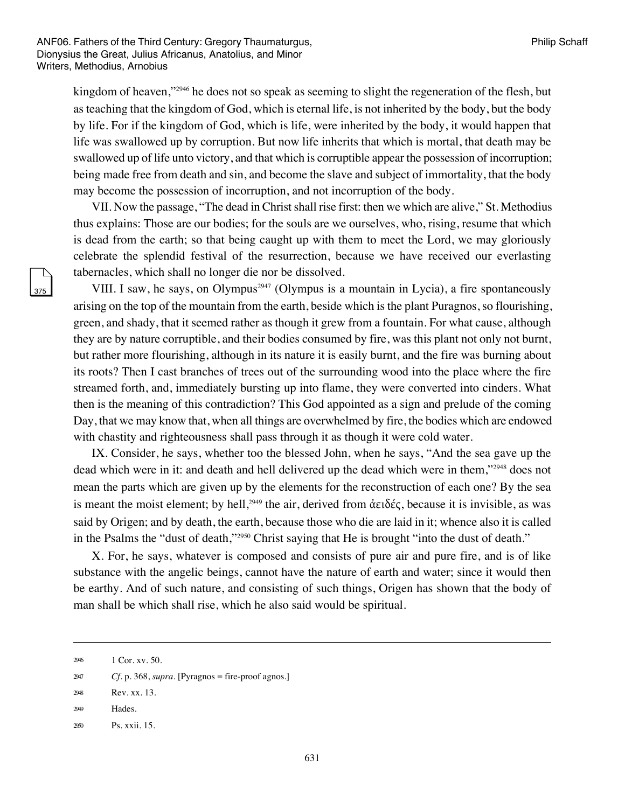ANF06. Fathers of the Third Century: Gregory Thaumaturgus, National Communications of the Thilip Schaff Dionysius the Great, Julius Africanus, Anatolius, and Minor Writers, Methodius, Arnobius

kingdom of heaven,"2946 he does not so speak as seeming to slight the regeneration of the flesh, but as teaching that the kingdom of God, which is eternal life, is not inherited by the body, but the body by life. For if the kingdom of God, which is life, were inherited by the body, it would happen that life was swallowed up by corruption. But now life inherits that which is mortal, that death may be swallowed up of life unto victory, and that which is corruptible appear the possession of incorruption; being made free from death and sin, and become the slave and subject of immortality, that the body may become the possession of incorruption, and not incorruption of the body.

VII. Now the passage, "The dead in Christ shall rise first: then we which are alive," St. Methodius thus explains: Those are our bodies; for the souls are we ourselves, who, rising, resume that which is dead from the earth; so that being caught up with them to meet the Lord, we may gloriously celebrate the splendid festival of the resurrection, because we have received our everlasting tabernacles, which shall no longer die nor be dissolved.

VIII. I saw, he says, on Olympus<sup>2947</sup> (Olympus is a mountain in Lycia), a fire spontaneously arising on the top of the mountain from the earth, beside which is the plant Puragnos, so flourishing, green, and shady, that it seemed rather as though it grew from a fountain. For what cause, although they are by nature corruptible, and their bodies consumed by fire, was this plant not only not burnt, but rather more flourishing, although in its nature it is easily burnt, and the fire was burning about its roots? Then I cast branches of trees out of the surrounding wood into the place where the fire streamed forth, and, immediately bursting up into flame, they were converted into cinders. What then is the meaning of this contradiction? This God appointed as a sign and prelude of the coming Day, that we may know that, when all things are overwhelmed by fire, the bodies which are endowed with chastity and righteousness shall pass through it as though it were cold water.

IX. Consider, he says, whether too the blessed John, when he says, "And the sea gave up the dead which were in it: and death and hell delivered up the dead which were in them,"2948 does not mean the parts which are given up by the elements for the reconstruction of each one? By the sea is meant the moist element; by hell,<sup>2949</sup> the air, derived from  $\alpha \in \delta \epsilon \zeta$ , because it is invisible, as was said by Origen; and by death, the earth, because those who die are laid in it; whence also it is called in the Psalms the "dust of death,"2950 Christ saying that He is brought "into the dust of death."

X. For, he says, whatever is composed and consists of pure air and pure fire, and is of like substance with the angelic beings, cannot have the nature of earth and water; since it would then be earthy. And of such nature, and consisting of such things, Origen has shown that the body of man shall be which shall rise, which he also said would be spiritual.

- 2947 *Cf.* p. 368, *supra*. [Pyragnos = fire-proof agnos.]
- <sup>2948</sup> [Rev. xx. 13.](http://www.ccel.org/ccel/bible/asv.Rev.20.html#Rev.20.13)
- <sup>2949</sup> Hades.

[375](http://www.ccel.org/ccel/schaff/anf06/Page_375.html)

<sup>2950</sup> [Ps. xxii. 15.](http://www.ccel.org/ccel/bible/asv.Ps.22.html#Ps.22.15)

<sup>2946</sup> [1 Cor. xv. 50](http://www.ccel.org/ccel/bible/asv.iCor.15.html#iCor.15.50).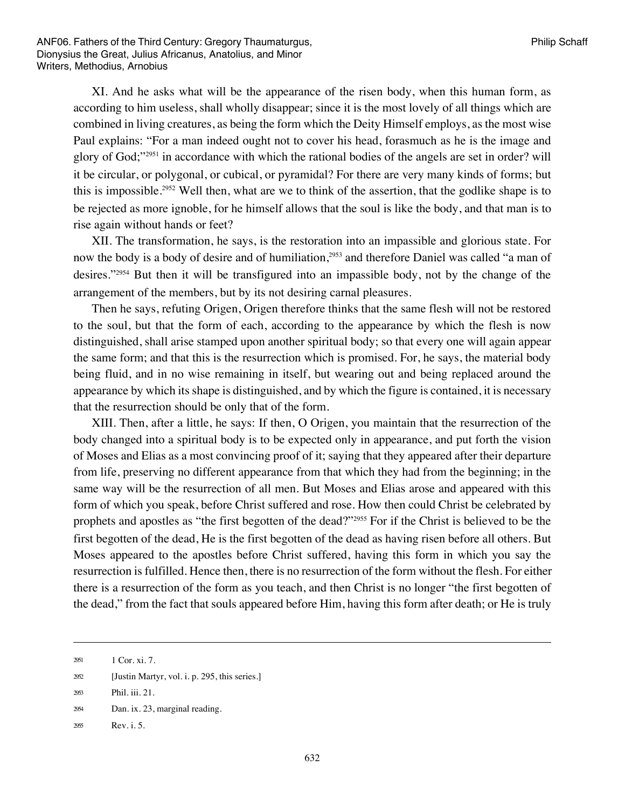XI. And he asks what will be the appearance of the risen body, when this human form, as according to him useless, shall wholly disappear; since it is the most lovely of all things which are combined in living creatures, as being the form which the Deity Himself employs, as the most wise Paul explains: "For a man indeed ought not to cover his head, forasmuch as he is the image and glory of God;"2951 in accordance with which the rational bodies of the angels are set in order? will it be circular, or polygonal, or cubical, or pyramidal? For there are very many kinds of forms; but this is impossible.2952 Well then, what are we to think of the assertion, that the godlike shape is to be rejected as more ignoble, for he himself allows that the soul is like the body, and that man is to rise again without hands or feet?

XII. The transformation, he says, is the restoration into an impassible and glorious state. For now the body is a body of desire and of humiliation,<sup>2953</sup> and therefore Daniel was called "a man of desires."2954 But then it will be transfigured into an impassible body, not by the change of the arrangement of the members, but by its not desiring carnal pleasures.

Then he says, refuting Origen, Origen therefore thinks that the same flesh will not be restored to the soul, but that the form of each, according to the appearance by which the flesh is now distinguished, shall arise stamped upon another spiritual body; so that every one will again appear the same form; and that this is the resurrection which is promised. For, he says, the material body being fluid, and in no wise remaining in itself, but wearing out and being replaced around the appearance by which its shape is distinguished, and by which the figure is contained, it is necessary that the resurrection should be only that of the form.

XIII. Then, after a little, he says: If then, O Origen, you maintain that the resurrection of the body changed into a spiritual body is to be expected only in appearance, and put forth the vision of Moses and Elias as a most convincing proof of it; saying that they appeared after their departure from life, preserving no different appearance from that which they had from the beginning; in the same way will be the resurrection of all men. But Moses and Elias arose and appeared with this form of which you speak, before Christ suffered and rose. How then could Christ be celebrated by prophets and apostles as "the first begotten of the dead?"2955 For if the Christ is believed to be the first begotten of the dead, He is the first begotten of the dead as having risen before all others. But Moses appeared to the apostles before Christ suffered, having this form in which you say the resurrection is fulfilled. Hence then, there is no resurrection of the form without the flesh. For either there is a resurrection of the form as you teach, and then Christ is no longer "the first begotten of the dead," from the fact that souls appeared before Him, having this form after death; or He is truly

- 2952 [Justin Martyr, vol. i. p. 295, this series.]
- <sup>2953</sup> [Phil. iii. 21](http://www.ccel.org/ccel/bible/asv.Phil.3.html#Phil.3.21).
- <sup>2954</sup> [Dan. ix. 23](http://www.ccel.org/ccel/bible/asv.Dan.9.html#Dan.9.23), marginal reading.
- <sup>2955</sup> [Rev. i. 5.](http://www.ccel.org/ccel/bible/asv.Rev.1.html#Rev.1.5)

<sup>2951</sup> [1 Cor. xi. 7.](http://www.ccel.org/ccel/bible/asv.iCor.11.html#iCor.11.7)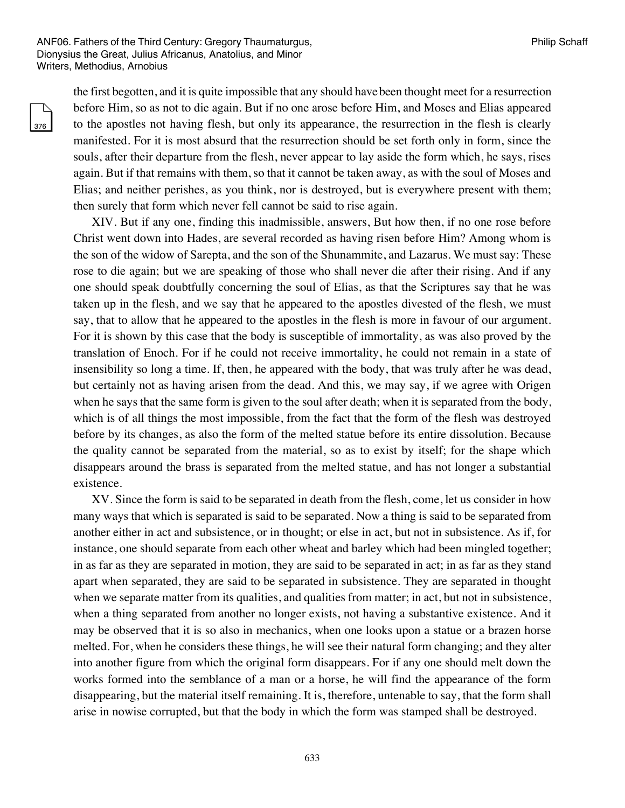ANF06. Fathers of the Third Century: Gregory Thaumaturgus, National Communications of the Thilip Schaff Dionysius the Great, Julius Africanus, Anatolius, and Minor Writers, Methodius, Arnobius



the first begotten, and it is quite impossible that any should have been thought meet for a resurrection before Him, so as not to die again. But if no one arose before Him, and Moses and Elias appeared to the apostles not having flesh, but only its appearance, the resurrection in the flesh is clearly manifested. For it is most absurd that the resurrection should be set forth only in form, since the souls, after their departure from the flesh, never appear to lay aside the form which, he says, rises again. But if that remains with them, so that it cannot be taken away, as with the soul of Moses and Elias; and neither perishes, as you think, nor is destroyed, but is everywhere present with them; then surely that form which never fell cannot be said to rise again.

XIV. But if any one, finding this inadmissible, answers, But how then, if no one rose before Christ went down into Hades, are several recorded as having risen before Him? Among whom is the son of the widow of Sarepta, and the son of the Shunammite, and Lazarus. We must say: These rose to die again; but we are speaking of those who shall never die after their rising. And if any one should speak doubtfully concerning the soul of Elias, as that the Scriptures say that he was taken up in the flesh, and we say that he appeared to the apostles divested of the flesh, we must say, that to allow that he appeared to the apostles in the flesh is more in favour of our argument. For it is shown by this case that the body is susceptible of immortality, as was also proved by the translation of Enoch. For if he could not receive immortality, he could not remain in a state of insensibility so long a time. If, then, he appeared with the body, that was truly after he was dead, but certainly not as having arisen from the dead. And this, we may say, if we agree with Origen when he says that the same form is given to the soul after death; when it is separated from the body, which is of all things the most impossible, from the fact that the form of the flesh was destroyed before by its changes, as also the form of the melted statue before its entire dissolution. Because the quality cannot be separated from the material, so as to exist by itself; for the shape which disappears around the brass is separated from the melted statue, and has not longer a substantial existence.

XV. Since the form is said to be separated in death from the flesh, come, let us consider in how many ways that which is separated is said to be separated. Now a thing is said to be separated from another either in act and subsistence, or in thought; or else in act, but not in subsistence. As if, for instance, one should separate from each other wheat and barley which had been mingled together; in as far as they are separated in motion, they are said to be separated in act; in as far as they stand apart when separated, they are said to be separated in subsistence. They are separated in thought when we separate matter from its qualities, and qualities from matter; in act, but not in subsistence, when a thing separated from another no longer exists, not having a substantive existence. And it may be observed that it is so also in mechanics, when one looks upon a statue or a brazen horse melted. For, when he considers these things, he will see their natural form changing; and they alter into another figure from which the original form disappears. For if any one should melt down the works formed into the semblance of a man or a horse, he will find the appearance of the form disappearing, but the material itself remaining. It is, therefore, untenable to say, that the form shall arise in nowise corrupted, but that the body in which the form was stamped shall be destroyed.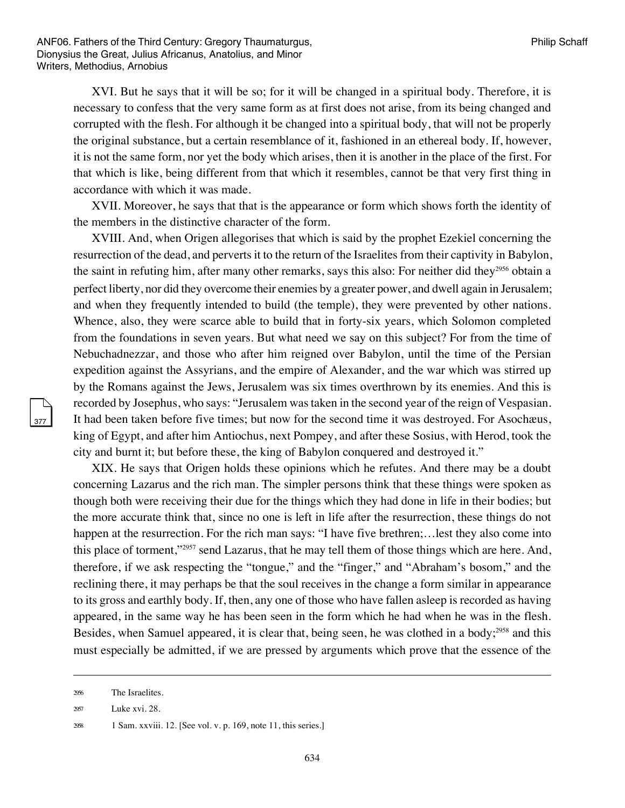ANF06. Fathers of the Third Century: Gregory Thaumaturgus, National Communications of the Thilip Schaff Dionysius the Great, Julius Africanus, Anatolius, and Minor Writers, Methodius, Arnobius

XVI. But he says that it will be so; for it will be changed in a spiritual body. Therefore, it is necessary to confess that the very same form as at first does not arise, from its being changed and corrupted with the flesh. For although it be changed into a spiritual body, that will not be properly the original substance, but a certain resemblance of it, fashioned in an ethereal body. If, however, it is not the same form, nor yet the body which arises, then it is another in the place of the first. For that which is like, being different from that which it resembles, cannot be that very first thing in accordance with which it was made.

XVII. Moreover, he says that that is the appearance or form which shows forth the identity of the members in the distinctive character of the form.

XVIII. And, when Origen allegorises that which is said by the prophet Ezekiel concerning the resurrection of the dead, and perverts it to the return of the Israelites from their captivity in Babylon, the saint in refuting him, after many other remarks, says this also: For neither did they<sup>2956</sup> obtain a perfect liberty, nor did they overcome their enemies by a greater power, and dwell again in Jerusalem; and when they frequently intended to build (the temple), they were prevented by other nations. Whence, also, they were scarce able to build that in forty-six years, which Solomon completed from the foundations in seven years. But what need we say on this subject? For from the time of Nebuchadnezzar, and those who after him reigned over Babylon, until the time of the Persian expedition against the Assyrians, and the empire of Alexander, and the war which was stirred up by the Romans against the Jews, Jerusalem was six times overthrown by its enemies. And this is recorded by Josephus, who says: "Jerusalem was taken in the second year of the reign of Vespasian. It had been taken before five times; but now for the second time it was destroyed. For Asochæus, king of Egypt, and after him Antiochus, next Pompey, and after these Sosius, with Herod, took the city and burnt it; but before these, the king of Babylon conquered and destroyed it."

XIX. He says that Origen holds these opinions which he refutes. And there may be a doubt concerning Lazarus and the rich man. The simpler persons think that these things were spoken as though both were receiving their due for the things which they had done in life in their bodies; but the more accurate think that, since no one is left in life after the resurrection, these things do not happen at the resurrection. For the rich man says: "I have five brethren;...lest they also come into this place of torment,"2957 send Lazarus, that he may tell them of those things which are here. And, therefore, if we ask respecting the "tongue," and the "finger," and "Abraham's bosom," and the reclining there, it may perhaps be that the soul receives in the change a form similar in appearance to its gross and earthly body. If, then, any one of those who have fallen asleep is recorded as having appeared, in the same way he has been seen in the form which he had when he was in the flesh. Besides, when Samuel appeared, it is clear that, being seen, he was clothed in a body;<sup>2958</sup> and this must especially be admitted, if we are pressed by arguments which prove that the essence of the

<sup>2956</sup> The Israelites.

<sup>2957</sup> [Luke xvi. 28.](http://www.ccel.org/ccel/bible/asv.Luke.16.html#Luke.16.28)

<sup>2958</sup> [1 Sam. xxviii. 12.](http://www.ccel.org/ccel/bible/asv.iSam.28.html#iSam.28.12) [See vol. v. p. 169, note 11, this series.]